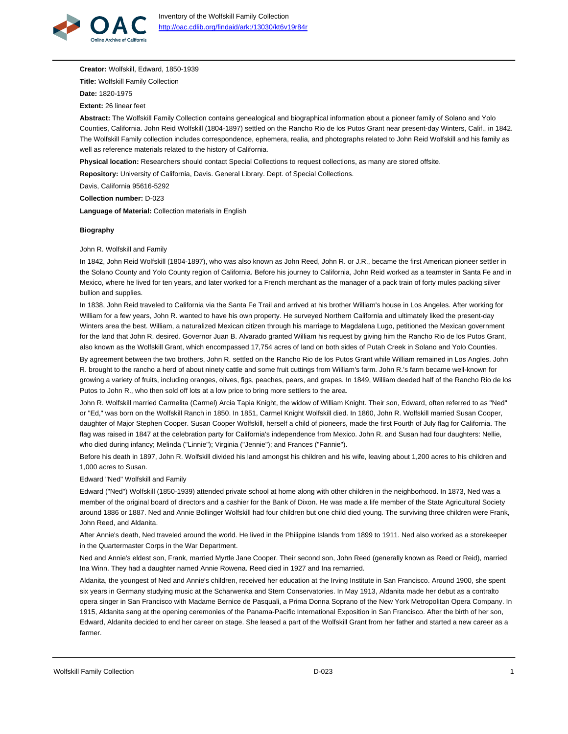

**Creator:** Wolfskill, Edward, 1850-1939

**Title:** Wolfskill Family Collection

**Date:** 1820-1975

**Extent:** 26 linear feet

**Abstract:** The Wolfskill Family Collection contains genealogical and biographical information about a pioneer family of Solano and Yolo Counties, California. John Reid Wolfskill (1804-1897) settled on the Rancho Rio de los Putos Grant near present-day Winters, Calif., in 1842. The Wolfskill Family collection includes correspondence, ephemera, realia, and photographs related to John Reid Wolfskill and his family as well as reference materials related to the history of California.

**Physical location:** Researchers should contact Special Collections to request collections, as many are stored offsite.

**Repository:** University of California, Davis. General Library. Dept. of Special Collections.

Davis, California 95616-5292

**Collection number:** D-023

**Language of Material:** Collection materials in English

### **Biography**

John R. Wolfskill and Family

In 1842, John Reid Wolfskill (1804-1897), who was also known as John Reed, John R. or J.R., became the first American pioneer settler in the Solano County and Yolo County region of California. Before his journey to California, John Reid worked as a teamster in Santa Fe and in Mexico, where he lived for ten years, and later worked for a French merchant as the manager of a pack train of forty mules packing silver bullion and supplies.

In 1838, John Reid traveled to California via the Santa Fe Trail and arrived at his brother William's house in Los Angeles. After working for William for a few years, John R. wanted to have his own property. He surveyed Northern California and ultimately liked the present-day Winters area the best. William, a naturalized Mexican citizen through his marriage to Magdalena Lugo, petitioned the Mexican government for the land that John R. desired. Governor Juan B. Alvarado granted William his request by giving him the Rancho Rio de los Putos Grant, also known as the Wolfskill Grant, which encompassed 17,754 acres of land on both sides of Putah Creek in Solano and Yolo Counties.

By agreement between the two brothers, John R. settled on the Rancho Rio de los Putos Grant while William remained in Los Angles. John R. brought to the rancho a herd of about ninety cattle and some fruit cuttings from William's farm. John R.'s farm became well-known for growing a variety of fruits, including oranges, olives, figs, peaches, pears, and grapes. In 1849, William deeded half of the Rancho Rio de los Putos to John R., who then sold off lots at a low price to bring more settlers to the area.

John R. Wolfskill married Carmelita (Carmel) Arcia Tapia Knight, the widow of William Knight. Their son, Edward, often referred to as "Ned" or "Ed," was born on the Wolfskill Ranch in 1850. In 1851, Carmel Knight Wolfskill died. In 1860, John R. Wolfskill married Susan Cooper, daughter of Major Stephen Cooper. Susan Cooper Wolfskill, herself a child of pioneers, made the first Fourth of July flag for California. The flag was raised in 1847 at the celebration party for California's independence from Mexico. John R. and Susan had four daughters: Nellie, who died during infancy; Melinda ("Linnie"); Virginia ("Jennie"); and Frances ("Fannie").

Before his death in 1897, John R. Wolfskill divided his land amongst his children and his wife, leaving about 1,200 acres to his children and 1,000 acres to Susan.

Edward "Ned" Wolfskill and Family

Edward ("Ned") Wolfskill (1850-1939) attended private school at home along with other children in the neighborhood. In 1873, Ned was a member of the original board of directors and a cashier for the Bank of Dixon. He was made a life member of the State Agricultural Society around 1886 or 1887. Ned and Annie Bollinger Wolfskill had four children but one child died young. The surviving three children were Frank, John Reed, and Aldanita.

After Annie's death, Ned traveled around the world. He lived in the Philippine Islands from 1899 to 1911. Ned also worked as a storekeeper in the Quartermaster Corps in the War Department.

Ned and Annie's eldest son, Frank, married Myrtle Jane Cooper. Their second son, John Reed (generally known as Reed or Reid), married Ina Winn. They had a daughter named Annie Rowena. Reed died in 1927 and Ina remarried.

Aldanita, the youngest of Ned and Annie's children, received her education at the Irving Institute in San Francisco. Around 1900, she spent six years in Germany studying music at the Scharwenka and Stern Conservatories. In May 1913, Aldanita made her debut as a contralto opera singer in San Francisco with Madame Bernice de Pasquali, a Prima Donna Soprano of the New York Metropolitan Opera Company. In 1915, Aldanita sang at the opening ceremonies of the Panama-Pacific International Exposition in San Francisco. After the birth of her son, Edward, Aldanita decided to end her career on stage. She leased a part of the Wolfskill Grant from her father and started a new career as a farmer.

Wolfskill Family Collection **D-023** 2012 12:30 D-023 2012 12:30 P-023 2012 12:30 P-023 2012 12:30 P-023 2012 12:30 P-023 2012 12:30 P-023 2012 12:30 P-023 2012 12:30 P-023 2012 12:30 P-023 2012 12:30 P-023 2012 12:30 P-023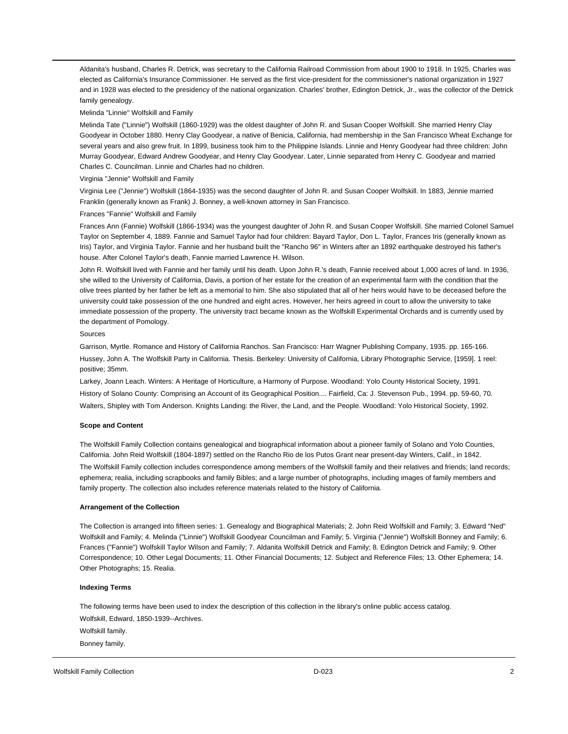Aldanita's husband, Charles R. Detrick, was secretary to the California Railroad Commission from about 1900 to 1918. In 1925, Charles was elected as California's Insurance Commissioner. He served as the first vice-president for the commissioner's national organization in 1927 and in 1928 was elected to the presidency of the national organization. Charles' brother, Edington Detrick, Jr., was the collector of the Detrick family genealogy.

#### Melinda "Linnie" Wolfskill and Family

Melinda Tate ("Linnie") Wolfskill (1860-1929) was the oldest daughter of John R. and Susan Cooper Wolfskill. She married Henry Clay Goodyear in October 1880. Henry Clay Goodyear, a native of Benicia, California, had membership in the San Francisco Wheat Exchange for several years and also grew fruit. In 1899, business took him to the Philippine Islands. Linnie and Henry Goodyear had three children: John Murray Goodyear, Edward Andrew Goodyear, and Henry Clay Goodyear. Later, Linnie separated from Henry C. Goodyear and married Charles C. Councilman. Linnie and Charles had no children.

#### Virginia "Jennie" Wolfskill and Family

Virginia Lee ("Jennie") Wolfskill (1864-1935) was the second daughter of John R. and Susan Cooper Wolfskill. In 1883, Jennie married Franklin (generally known as Frank) J. Bonney, a well-known attorney in San Francisco.

#### Frances "Fannie" Wolfskill and Family

Frances Ann (Fannie) Wolfskill (1866-1934) was the youngest daughter of John R. and Susan Cooper Wolfskill. She married Colonel Samuel Taylor on September 4, 1889. Fannie and Samuel Taylor had four children: Bayard Taylor, Don L. Taylor, Frances Iris (generally known as Iris) Taylor, and Virginia Taylor. Fannie and her husband built the "Rancho 96" in Winters after an 1892 earthquake destroyed his father's house. After Colonel Taylor's death, Fannie married Lawrence H. Wilson.

John R. Wolfskill lived with Fannie and her family until his death. Upon John R.'s death, Fannie received about 1,000 acres of land. In 1936, she willed to the University of California, Davis, a portion of her estate for the creation of an experimental farm with the condition that the olive trees planted by her father be left as a memorial to him. She also stipulated that all of her heirs would have to be deceased before the university could take possession of the one hundred and eight acres. However, her heirs agreed in court to allow the university to take immediate possession of the property. The university tract became known as the Wolfskill Experimental Orchards and is currently used by the department of Pomology.

#### Sources

Garrison, Myrtle. Romance and History of California Ranchos. San Francisco: Harr Wagner Publishing Company, 1935. pp. 165-166. Hussey, John A. The Wolfskill Party in California. Thesis. Berkeley: University of California, Library Photographic Service, [1959]. 1 reel: positive; 35mm.

Larkey, Joann Leach. Winters: A Heritage of Horticulture, a Harmony of Purpose. Woodland: Yolo County Historical Society, 1991. History of Solano County: Comprising an Account of its Geographical Position.... Fairfield, Ca: J. Stevenson Pub., 1994. pp. 59-60, 70. Walters, Shipley with Tom Anderson. Knights Landing: the River, the Land, and the People. Woodland: Yolo Historical Society, 1992.

#### **Scope and Content**

The Wolfskill Family Collection contains genealogical and biographical information about a pioneer family of Solano and Yolo Counties, California. John Reid Wolfskill (1804-1897) settled on the Rancho Rio de los Putos Grant near present-day Winters, Calif., in 1842. The Wolfskill Family collection includes correspondence among members of the Wolfskill family and their relatives and friends; land records; ephemera; realia, including scrapbooks and family Bibles; and a large number of photographs, including images of family members and family property. The collection also includes reference materials related to the history of California.

#### **Arrangement of the Collection**

The Collection is arranged into fifteen series: 1. Genealogy and Biographical Materials; 2. John Reid Wolfskill and Family; 3. Edward "Ned" Wolfskill and Family; 4. Melinda ("Linnie") Wolfskill Goodyear Councilman and Family; 5. Virginia ("Jennie") Wolfskill Bonney and Family; 6. Frances ("Fannie") Wolfskill Taylor Wilson and Family; 7. Aldanita Wolfskill Detrick and Family; 8. Edington Detrick and Family; 9. Other Correspondence; 10. Other Legal Documents; 11. Other Financial Documents; 12. Subject and Reference Files; 13. Other Ephemera; 14. Other Photographs; 15. Realia.

#### **Indexing Terms**

The following terms have been used to index the description of this collection in the library's online public access catalog. Wolfskill, Edward, 1850-1939--Archives. Wolfskill family. Bonney family.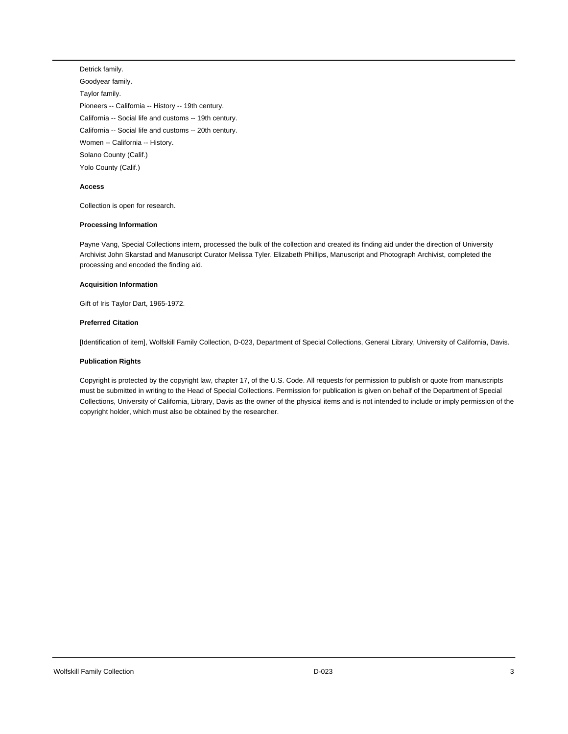Detrick family. Goodyear family. Taylor family. Pioneers -- California -- History -- 19th century. California -- Social life and customs -- 19th century. California -- Social life and customs -- 20th century. Women -- California -- History. Solano County (Calif.) Yolo County (Calif.)

#### **Access**

Collection is open for research.

### **Processing Information**

Payne Vang, Special Collections intern, processed the bulk of the collection and created its finding aid under the direction of University Archivist John Skarstad and Manuscript Curator Melissa Tyler. Elizabeth Phillips, Manuscript and Photograph Archivist, completed the processing and encoded the finding aid.

### **Acquisition Information**

Gift of Iris Taylor Dart, 1965-1972.

### **Preferred Citation**

[Identification of item], Wolfskill Family Collection, D-023, Department of Special Collections, General Library, University of California, Davis.

### **Publication Rights**

Copyright is protected by the copyright law, chapter 17, of the U.S. Code. All requests for permission to publish or quote from manuscripts must be submitted in writing to the Head of Special Collections. Permission for publication is given on behalf of the Department of Special Collections, University of California, Library, Davis as the owner of the physical items and is not intended to include or imply permission of the copyright holder, which must also be obtained by the researcher.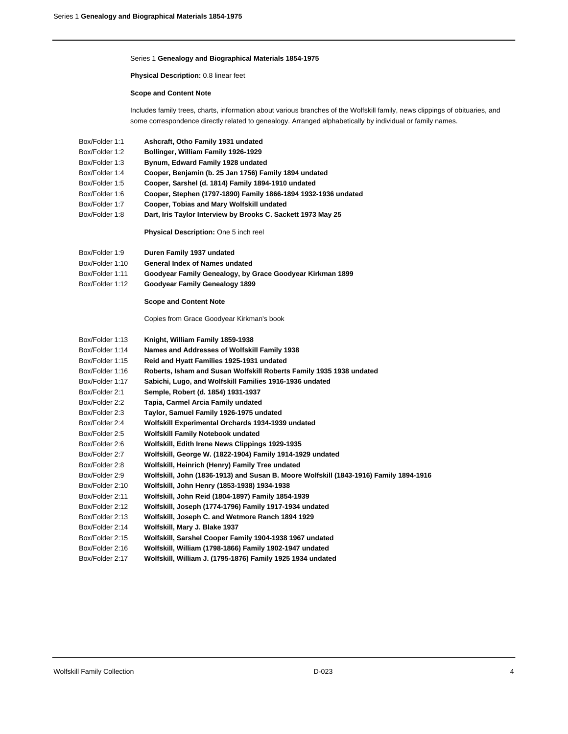### Series 1 **Genealogy and Biographical Materials 1854-1975**

**Physical Description:** 0.8 linear feet

### **Scope and Content Note**

Includes family trees, charts, information about various branches of the Wolfskill family, news clippings of obituaries, and some correspondence directly related to genealogy. Arranged alphabetically by individual or family names.

| Box/Folder 1:1  | Ashcraft, Otho Family 1931 undated                                                    |
|-----------------|---------------------------------------------------------------------------------------|
| Box/Folder 1:2  | Bollinger, William Family 1926-1929                                                   |
| Box/Folder 1:3  | Bynum, Edward Family 1928 undated                                                     |
| Box/Folder 1:4  | Cooper, Benjamin (b. 25 Jan 1756) Family 1894 undated                                 |
| Box/Folder 1:5  | Cooper, Sarshel (d. 1814) Family 1894-1910 undated                                    |
| Box/Folder 1:6  | Cooper, Stephen (1797-1890) Family 1866-1894 1932-1936 undated                        |
| Box/Folder 1:7  | Cooper, Tobias and Mary Wolfskill undated                                             |
| Box/Folder 1:8  | Dart, Iris Taylor Interview by Brooks C. Sackett 1973 May 25                          |
|                 | Physical Description: One 5 inch reel                                                 |
| Box/Folder 1:9  | Duren Family 1937 undated                                                             |
| Box/Folder 1:10 | General Index of Names undated                                                        |
| Box/Folder 1:11 | Goodyear Family Genealogy, by Grace Goodyear Kirkman 1899                             |
| Box/Folder 1:12 | Goodyear Family Genealogy 1899                                                        |
|                 | <b>Scope and Content Note</b>                                                         |
|                 | Copies from Grace Goodyear Kirkman's book                                             |
| Box/Folder 1:13 | Knight, William Family 1859-1938                                                      |
| Box/Folder 1:14 | Names and Addresses of Wolfskill Family 1938                                          |
| Box/Folder 1:15 | Reid and Hyatt Families 1925-1931 undated                                             |
| Box/Folder 1:16 | Roberts, Isham and Susan Wolfskill Roberts Family 1935 1938 undated                   |
| Box/Folder 1:17 | Sabichi, Lugo, and Wolfskill Families 1916-1936 undated                               |
| Box/Folder 2:1  | Semple, Robert (d. 1854) 1931-1937                                                    |
| Box/Folder 2:2  | Tapia, Carmel Arcia Family undated                                                    |
| Box/Folder 2:3  | Taylor, Samuel Family 1926-1975 undated                                               |
| Box/Folder 2:4  | Wolfskill Experimental Orchards 1934-1939 undated                                     |
| Box/Folder 2:5  | <b>Wolfskill Family Notebook undated</b>                                              |
| Box/Folder 2:6  | Wolfskill, Edith Irene News Clippings 1929-1935                                       |
| Box/Folder 2:7  | Wolfskill, George W. (1822-1904) Family 1914-1929 undated                             |
| Box/Folder 2:8  | Wolfskill, Heinrich (Henry) Family Tree undated                                       |
| Box/Folder 2:9  | Wolfskill, John (1836-1913) and Susan B. Moore Wolfskill (1843-1916) Family 1894-1916 |
| Box/Folder 2:10 | Wolfskill, John Henry (1853-1938) 1934-1938                                           |
| Box/Folder 2:11 | Wolfskill, John Reid (1804-1897) Family 1854-1939                                     |
| Box/Folder 2:12 | Wolfskill, Joseph (1774-1796) Family 1917-1934 undated                                |
| Box/Folder 2:13 | Wolfskill, Joseph C. and Wetmore Ranch 1894 1929                                      |
| Box/Folder 2:14 | Wolfskill, Mary J. Blake 1937                                                         |
| Box/Folder 2:15 | Wolfskill, Sarshel Cooper Family 1904-1938 1967 undated                               |
| Box/Folder 2:16 | Wolfskill, William (1798-1866) Family 1902-1947 undated                               |
| Box/Folder 2:17 | Wolfskill, William J. (1795-1876) Family 1925 1934 undated                            |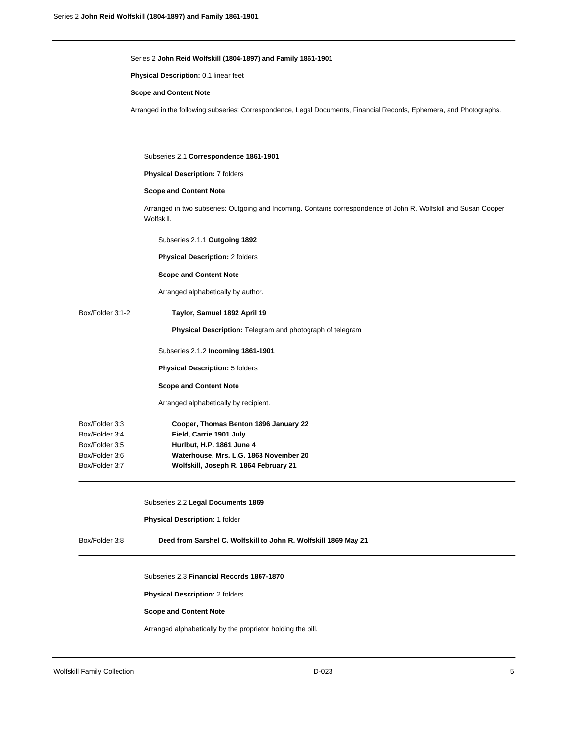# Series 2 **John Reid Wolfskill (1804-1897) and Family 1861-1901**

**Physical Description:** 0.1 linear feet

### **Scope and Content Note**

Arranged in the following subseries: Correspondence, Legal Documents, Financial Records, Ephemera, and Photographs.

|                                                                                                                     | Subseries 2.1 Correspondence 1861-1901                                                                                        |
|---------------------------------------------------------------------------------------------------------------------|-------------------------------------------------------------------------------------------------------------------------------|
|                                                                                                                     | Physical Description: 7 folders                                                                                               |
|                                                                                                                     | <b>Scope and Content Note</b>                                                                                                 |
|                                                                                                                     | Arranged in two subseries: Outgoing and Incoming. Contains correspondence of John R. Wolfskill and Susan Cooper<br>Wolfskill. |
|                                                                                                                     | Subseries 2.1.1 Outgoing 1892                                                                                                 |
|                                                                                                                     | Physical Description: 2 folders                                                                                               |
|                                                                                                                     | <b>Scope and Content Note</b>                                                                                                 |
|                                                                                                                     | Arranged alphabetically by author.                                                                                            |
| Box/Folder 3:1-2                                                                                                    | Taylor, Samuel 1892 April 19                                                                                                  |
|                                                                                                                     | Physical Description: Telegram and photograph of telegram                                                                     |
|                                                                                                                     | Subseries 2.1.2 Incoming 1861-1901                                                                                            |
|                                                                                                                     | <b>Physical Description: 5 folders</b>                                                                                        |
|                                                                                                                     | <b>Scope and Content Note</b>                                                                                                 |
|                                                                                                                     | Arranged alphabetically by recipient.                                                                                         |
| Box/Folder 3:3                                                                                                      | Cooper, Thomas Benton 1896 January 22                                                                                         |
| Box/Folder 3:4                                                                                                      | Field, Carrie 1901 July                                                                                                       |
| Box/Folder 3:5                                                                                                      | Hurlbut, H.P. 1861 June 4                                                                                                     |
| Box/Folder 3:6<br>Waterhouse, Mrs. L.G. 1863 November 20<br>Box/Folder 3:7<br>Wolfskill, Joseph R. 1864 February 21 |                                                                                                                               |
|                                                                                                                     |                                                                                                                               |
|                                                                                                                     | Subseries 2.2 Legal Documents 1869                                                                                            |
|                                                                                                                     | Physical Description: 1 folder                                                                                                |
| Box/Folder 3:8                                                                                                      | Deed from Sarshel C. Wolfskill to John R. Wolfskill 1869 May 21                                                               |
|                                                                                                                     | Subseries 2.3 Financial Records 1867-1870                                                                                     |
|                                                                                                                     | Physical Description: 2 folders                                                                                               |
|                                                                                                                     | <b>Scope and Content Note</b>                                                                                                 |
|                                                                                                                     | Arranged alphabetically by the proprietor holding the bill.                                                                   |
|                                                                                                                     |                                                                                                                               |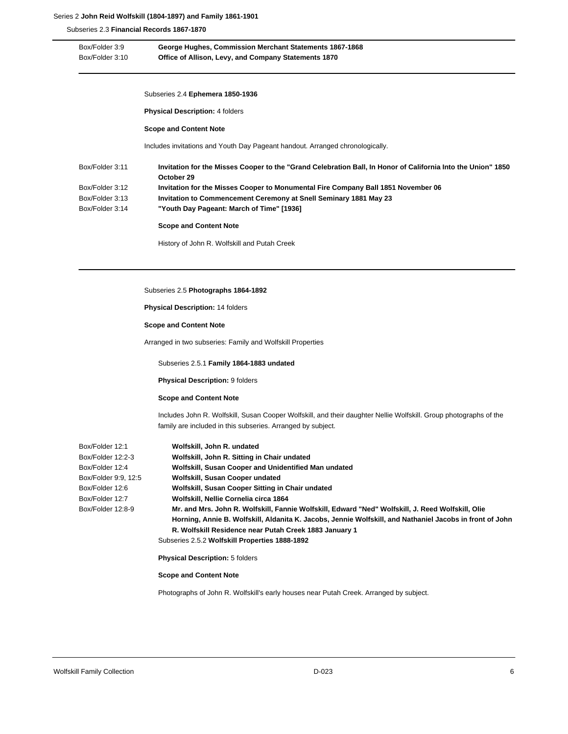# Series 2 **John Reid Wolfskill (1804-1897) and Family 1861-1901**

Subseries 2.3 **Financial Records 1867-1870**

| Box/Folder 3:9<br>Box/Folder 3:10 | George Hughes, Commission Merchant Statements 1867-1868<br>Office of Allison, Levy, and Company Statements 1870                                                                                                                                                         |
|-----------------------------------|-------------------------------------------------------------------------------------------------------------------------------------------------------------------------------------------------------------------------------------------------------------------------|
|                                   | Subseries 2.4 Ephemera 1850-1936                                                                                                                                                                                                                                        |
|                                   | <b>Physical Description: 4 folders</b>                                                                                                                                                                                                                                  |
|                                   | <b>Scope and Content Note</b>                                                                                                                                                                                                                                           |
|                                   | Includes invitations and Youth Day Pageant handout. Arranged chronologically.                                                                                                                                                                                           |
| Box/Folder 3:11                   | Invitation for the Misses Cooper to the "Grand Celebration Ball, In Honor of California Into the Union" 1850<br>October 29                                                                                                                                              |
| Box/Folder 3:12                   | Invitation for the Misses Cooper to Monumental Fire Company Ball 1851 November 06                                                                                                                                                                                       |
| Box/Folder 3:13                   | Invitation to Commencement Ceremony at Snell Seminary 1881 May 23                                                                                                                                                                                                       |
| Box/Folder 3:14                   | "Youth Day Pageant: March of Time" [1936]                                                                                                                                                                                                                               |
|                                   | <b>Scope and Content Note</b>                                                                                                                                                                                                                                           |
|                                   | History of John R. Wolfskill and Putah Creek                                                                                                                                                                                                                            |
|                                   | Subseries 2.5 Photographs 1864-1892<br><b>Physical Description: 14 folders</b>                                                                                                                                                                                          |
|                                   | <b>Scope and Content Note</b>                                                                                                                                                                                                                                           |
|                                   | Arranged in two subseries: Family and Wolfskill Properties                                                                                                                                                                                                              |
|                                   | Subseries 2.5.1 Family 1864-1883 undated                                                                                                                                                                                                                                |
|                                   | <b>Physical Description: 9 folders</b>                                                                                                                                                                                                                                  |
|                                   | <b>Scope and Content Note</b>                                                                                                                                                                                                                                           |
|                                   | Includes John R. Wolfskill, Susan Cooper Wolfskill, and their daughter Nellie Wolfskill. Group photographs of the                                                                                                                                                       |
|                                   | family are included in this subseries. Arranged by subject.                                                                                                                                                                                                             |
| Box/Folder 12:1                   | Wolfskill, John R. undated                                                                                                                                                                                                                                              |
| Box/Folder 12:2-3                 | Wolfskill, John R. Sitting in Chair undated                                                                                                                                                                                                                             |
| Box/Folder 12:4                   | Wolfskill, Susan Cooper and Unidentified Man undated                                                                                                                                                                                                                    |
| Box/Folder 9:9, 12:5              | Wolfskill, Susan Cooper undated                                                                                                                                                                                                                                         |
| Box/Folder 12:6                   | Wolfskill, Susan Cooper Sitting in Chair undated                                                                                                                                                                                                                        |
| Box/Folder 12:7                   | Wolfskill, Nellie Cornelia circa 1864                                                                                                                                                                                                                                   |
|                                   |                                                                                                                                                                                                                                                                         |
| Box/Folder 12:8-9                 | Mr. and Mrs. John R. Wolfskill, Fannie Wolfskill, Edward "Ned" Wolfskill, J. Reed Wolfskill, Olie<br>Horning, Annie B. Wolfskill, Aldanita K. Jacobs, Jennie Wolfskill, and Nathaniel Jacobs in front of John<br>R. Wolfskill Residence near Putah Creek 1883 January 1 |

**Physical Description:** 5 folders

**Scope and Content Note**

Photographs of John R. Wolfskill's early houses near Putah Creek. Arranged by subject.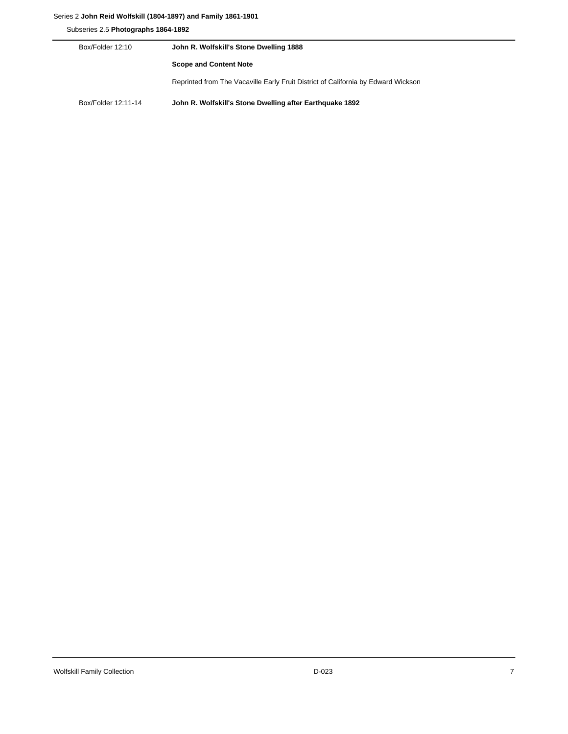# Series 2 **John Reid Wolfskill (1804-1897) and Family 1861-1901**

Subseries 2.5 **Photographs 1864-1892**

| Box/Folder 12:10    | John R. Wolfskill's Stone Dwelling 1888                                           |
|---------------------|-----------------------------------------------------------------------------------|
|                     | <b>Scope and Content Note</b>                                                     |
|                     | Reprinted from The Vacaville Early Fruit District of California by Edward Wickson |
| Box/Folder 12:11-14 | John R. Wolfskill's Stone Dwelling after Earthquake 1892                          |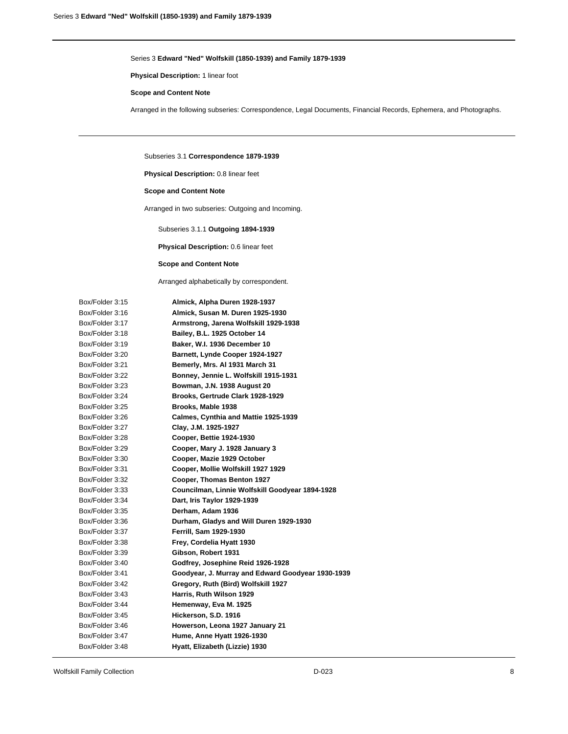**Physical Description:** 1 linear foot

#### **Scope and Content Note**

Arranged in the following subseries: Correspondence, Legal Documents, Financial Records, Ephemera, and Photographs.

Subseries 3.1 **Correspondence 1879-1939**

**Physical Description:** 0.8 linear feet

# **Scope and Content Note**

Arranged in two subseries: Outgoing and Incoming.

Subseries 3.1.1 **Outgoing 1894-1939**

**Physical Description:** 0.6 linear feet

### **Scope and Content Note**

Arranged alphabetically by correspondent.

| Box/Folder 3:15 | Almick, Alpha Duren 1928-1937                     |
|-----------------|---------------------------------------------------|
| Box/Folder 3:16 | Almick, Susan M. Duren 1925-1930                  |
| Box/Folder 3:17 | Armstrong, Jarena Wolfskill 1929-1938             |
| Box/Folder 3:18 | Bailey, B.L. 1925 October 14                      |
| Box/Folder 3:19 | Baker, W.I. 1936 December 10                      |
| Box/Folder 3:20 | Barnett, Lynde Cooper 1924-1927                   |
| Box/Folder 3:21 | Bemerly, Mrs. Al 1931 March 31                    |
| Box/Folder 3:22 | Bonney, Jennie L. Wolfskill 1915-1931             |
| Box/Folder 3:23 | Bowman, J.N. 1938 August 20                       |
| Box/Folder 3:24 | Brooks, Gertrude Clark 1928-1929                  |
| Box/Folder 3:25 | Brooks, Mable 1938                                |
| Box/Folder 3:26 | Calmes, Cynthia and Mattie 1925-1939              |
| Box/Folder 3:27 | Clay, J.M. 1925-1927                              |
| Box/Folder 3:28 | Cooper, Bettie 1924-1930                          |
| Box/Folder 3:29 | Cooper, Mary J. 1928 January 3                    |
| Box/Folder 3:30 | Cooper, Mazie 1929 October                        |
| Box/Folder 3:31 | Cooper, Mollie Wolfskill 1927 1929                |
| Box/Folder 3:32 | Cooper, Thomas Benton 1927                        |
| Box/Folder 3:33 | Councilman, Linnie Wolfskill Goodyear 1894-1928   |
| Box/Folder 3:34 | Dart, Iris Taylor 1929-1939                       |
| Box/Folder 3:35 | Derham, Adam 1936                                 |
| Box/Folder 3:36 | Durham, Gladys and Will Duren 1929-1930           |
| Box/Folder 3:37 | Ferrill, Sam 1929-1930                            |
| Box/Folder 3:38 | Frey, Cordelia Hyatt 1930                         |
| Box/Folder 3:39 | Gibson, Robert 1931                               |
| Box/Folder 3:40 | Godfrey, Josephine Reid 1926-1928                 |
| Box/Folder 3:41 | Goodyear, J. Murray and Edward Goodyear 1930-1939 |
| Box/Folder 3:42 | Gregory, Ruth (Bird) Wolfskill 1927               |
| Box/Folder 3:43 | Harris, Ruth Wilson 1929                          |
| Box/Folder 3:44 | Hemenway, Eva M. 1925                             |
| Box/Folder 3:45 | Hickerson, S.D. 1916                              |
| Box/Folder 3:46 | Howerson, Leona 1927 January 21                   |
| Box/Folder 3:47 | Hume, Anne Hyatt 1926-1930                        |
| Box/Folder 3:48 | Hyatt, Elizabeth (Lizzie) 1930                    |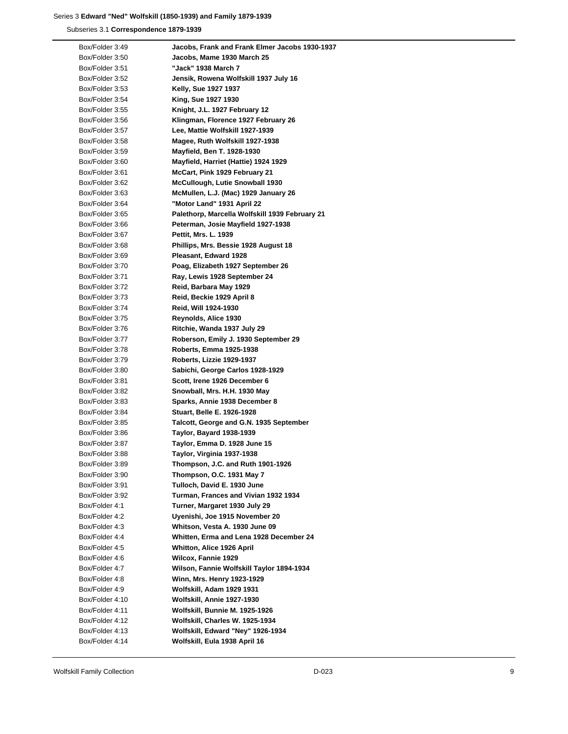Subseries 3.1 **Correspondence 1879-1939**

| Box/Folder 3:49 | Jacobs, Frank and Frank Elmer Jacobs 1930-1937 |
|-----------------|------------------------------------------------|
| Box/Folder 3:50 | Jacobs, Mame 1930 March 25                     |
| Box/Folder 3:51 | "Jack" 1938 March 7                            |
| Box/Folder 3:52 | Jensik, Rowena Wolfskill 1937 July 16          |
| Box/Folder 3:53 | Kelly, Sue 1927 1937                           |
| Box/Folder 3:54 | King, Sue 1927 1930                            |
| Box/Folder 3:55 | Knight, J.L. 1927 February 12                  |
| Box/Folder 3:56 | Klingman, Florence 1927 February 26            |
| Box/Folder 3:57 | Lee, Mattie Wolfskill 1927-1939                |
| Box/Folder 3:58 | Magee, Ruth Wolfskill 1927-1938                |
| Box/Folder 3:59 | Mayfield, Ben T. 1928-1930                     |
| Box/Folder 3:60 | Mayfield, Harriet (Hattie) 1924 1929           |
| Box/Folder 3:61 | McCart, Pink 1929 February 21                  |
| Box/Folder 3:62 | McCullough, Lutie Snowball 1930                |
| Box/Folder 3:63 | McMullen, L.J. (Mac) 1929 January 26           |
| Box/Folder 3:64 | "Motor Land" 1931 April 22                     |
| Box/Folder 3:65 | Palethorp, Marcella Wolfskill 1939 February 21 |
| Box/Folder 3:66 | Peterman, Josie Mayfield 1927-1938             |
| Box/Folder 3:67 | Pettit, Mrs. L. 1939                           |
| Box/Folder 3:68 | Phillips, Mrs. Bessie 1928 August 18           |
| Box/Folder 3:69 |                                                |
|                 | Pleasant, Edward 1928                          |
| Box/Folder 3:70 | Poag, Elizabeth 1927 September 26              |
| Box/Folder 3:71 | Ray, Lewis 1928 September 24                   |
| Box/Folder 3:72 | Reid, Barbara May 1929                         |
| Box/Folder 3:73 | Reid, Beckie 1929 April 8                      |
| Box/Folder 3:74 | Reid, Will 1924-1930                           |
| Box/Folder 3:75 | Reynolds, Alice 1930                           |
| Box/Folder 3:76 | Ritchie, Wanda 1937 July 29                    |
| Box/Folder 3:77 | Roberson, Emily J. 1930 September 29           |
| Box/Folder 3:78 | Roberts, Emma 1925-1938                        |
| Box/Folder 3:79 | Roberts, Lizzie 1929-1937                      |
| Box/Folder 3:80 | Sabichi, George Carlos 1928-1929               |
| Box/Folder 3:81 | Scott, Irene 1926 December 6                   |
| Box/Folder 3:82 | Snowball, Mrs. H.H. 1930 May                   |
| Box/Folder 3:83 | Sparks, Annie 1938 December 8                  |
| Box/Folder 3:84 | Stuart, Belle E. 1926-1928                     |
| Box/Folder 3:85 | Talcott, George and G.N. 1935 September        |
| Box/Folder 3:86 | <b>Taylor, Bayard 1938-1939</b>                |
| Box/Folder 3:87 | Taylor, Emma D. 1928 June 15                   |
| Box/Folder 3:88 | Taylor, Virginia 1937-1938                     |
| Box/Folder 3:89 | Thompson, J.C. and Ruth 1901-1926              |
| Box/Folder 3:90 | Thompson, O.C. 1931 May 7                      |
| Box/Folder 3:91 | Tulloch, David E. 1930 June                    |
| Box/Folder 3:92 | Turman, Frances and Vivian 1932 1934           |
| Box/Folder 4:1  | Turner, Margaret 1930 July 29                  |
| Box/Folder 4:2  | Uyenishi, Joe 1915 November 20                 |
| Box/Folder 4:3  | Whitson, Vesta A. 1930 June 09                 |
| Box/Folder 4:4  | Whitten, Erma and Lena 1928 December 24        |
| Box/Folder 4:5  | Whitton, Alice 1926 April                      |
| Box/Folder 4:6  | Wilcox, Fannie 1929                            |
| Box/Folder 4:7  | Wilson, Fannie Wolfskill Taylor 1894-1934      |
| Box/Folder 4:8  | Winn, Mrs. Henry 1923-1929                     |
| Box/Folder 4:9  | Wolfskill, Adam 1929 1931                      |
| Box/Folder 4:10 | Wolfskill, Annie 1927-1930                     |
| Box/Folder 4:11 | Wolfskill, Bunnie M. 1925-1926                 |
| Box/Folder 4:12 | Wolfskill, Charles W. 1925-1934                |
| Box/Folder 4:13 | Wolfskill, Edward "Ney" 1926-1934              |
|                 |                                                |
| Box/Folder 4:14 | Wolfskill, Eula 1938 April 16                  |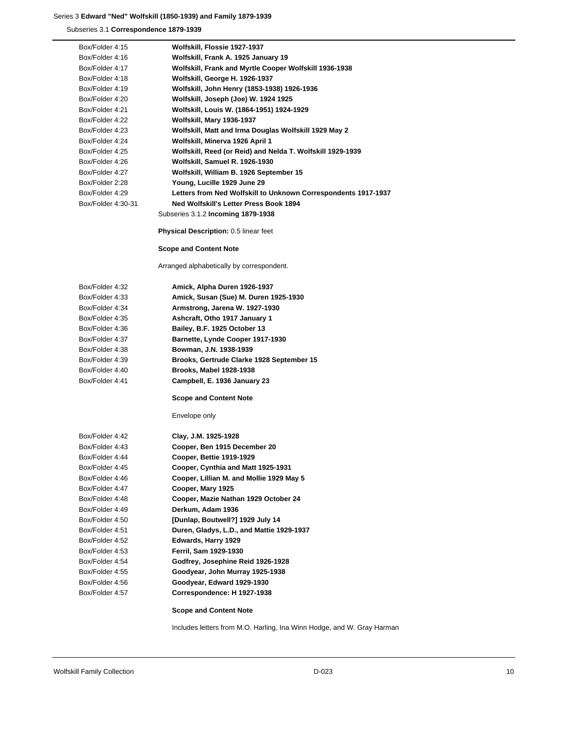Subseries 3.1 **Correspondence 1879-1939**

| Box/Folder 4:15    | Wolfskill, Flossie 1927-1937                                   |
|--------------------|----------------------------------------------------------------|
| Box/Folder 4:16    | Wolfskill, Frank A. 1925 January 19                            |
| Box/Folder 4:17    | Wolfskill, Frank and Myrtle Cooper Wolfskill 1936-1938         |
| Box/Folder 4:18    | Wolfskill, George H. 1926-1937                                 |
| Box/Folder 4:19    | Wolfskill, John Henry (1853-1938) 1926-1936                    |
| Box/Folder 4:20    | Wolfskill, Joseph (Joe) W. 1924 1925                           |
| Box/Folder 4:21    | Wolfskill, Louis W. (1864-1951) 1924-1929                      |
| Box/Folder 4:22    | Wolfskill, Mary 1936-1937                                      |
| Box/Folder 4:23    | Wolfskill, Matt and Irma Douglas Wolfskill 1929 May 2          |
| Box/Folder 4:24    | Wolfskill, Minerva 1926 April 1                                |
| Box/Folder 4:25    | Wolfskill, Reed (or Reid) and Nelda T. Wolfskill 1929-1939     |
| Box/Folder 4:26    | Wolfskill, Samuel R. 1926-1930                                 |
| Box/Folder 4:27    | Wolfskill, William B. 1926 September 15                        |
| Box/Folder 2:28    | Young, Lucille 1929 June 29                                    |
| Box/Folder 4:29    | Letters from Ned Wolfskill to Unknown Correspondents 1917-1937 |
| Box/Folder 4:30-31 | Ned Wolfskill's Letter Press Book 1894                         |
|                    | Subseries 3.1.2 Incoming 1879-1938                             |
|                    | Physical Description: 0.5 linear feet                          |
|                    | <b>Scope and Content Note</b>                                  |
|                    | Arranged alphabetically by correspondent.                      |
| Box/Folder 4:32    | Amick, Alpha Duren 1926-1937                                   |
| Box/Folder 4:33    | Amick, Susan (Sue) M. Duren 1925-1930                          |
| Box/Folder 4:34    | Armstrong, Jarena W. 1927-1930                                 |
| Box/Folder 4:35    | Ashcraft, Otho 1917 January 1                                  |
| Box/Folder 4:36    | Bailey, B.F. 1925 October 13                                   |
| Box/Folder 4:37    | Barnette, Lynde Cooper 1917-1930                               |
| Box/Folder 4:38    | Bowman, J.N. 1938-1939                                         |
| Box/Folder 4:39    | Brooks, Gertrude Clarke 1928 September 15                      |
| Box/Folder 4:40    | Brooks, Mabel 1928-1938                                        |
| Box/Folder 4:41    | Campbell, E. 1936 January 23                                   |
|                    | <b>Scope and Content Note</b>                                  |
|                    | Envelope only                                                  |
| Box/Folder 4:42    | Clay, J.M. 1925-1928                                           |
| Box/Folder 4:43    | Cooper, Ben 1915 December 20                                   |
| Box/Folder 4:44    | Cooper, Bettie 1919-1929                                       |
| Box/Folder 4:45    | Cooper, Cynthia and Matt 1925-1931                             |
| Box/Folder 4:46    | Cooper, Lillian M. and Mollie 1929 May 5                       |
| Box/Folder 4:47    | Cooper, Mary 1925                                              |
| Box/Folder 4:48    | Cooper, Mazie Nathan 1929 October 24                           |
| Box/Folder 4:49    | Derkum, Adam 1936                                              |
| Box/Folder 4:50    | [Dunlap, Boutwell?] 1929 July 14                               |
| Box/Folder 4:51    | Duren, Gladys, L.D., and Mattie 1929-1937                      |
| Box/Folder 4:52    | Edwards, Harry 1929                                            |
| Box/Folder 4:53    | Ferril, Sam 1929-1930                                          |
| Box/Folder 4:54    | Godfrey, Josephine Reid 1926-1928                              |
| Box/Folder 4:55    | Goodyear, John Murray 1925-1938                                |
| Box/Folder 4:56    | Goodyear, Edward 1929-1930                                     |
| Box/Folder 4:57    | Correspondence: H 1927-1938                                    |
|                    | <b>Scope and Content Note</b>                                  |

Includes letters from M.O. Harling, Ina Winn Hodge, and W. Gray Harman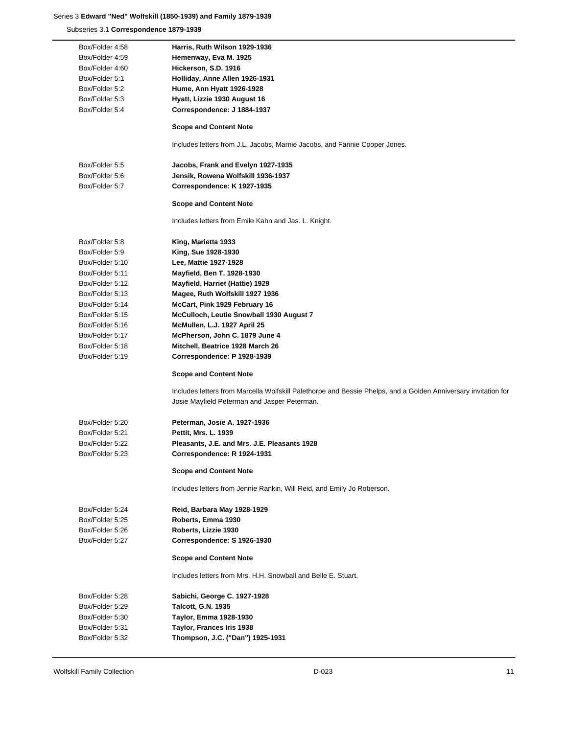Subseries 3.1 **Correspondence 1879-1939**

| Box/Folder 4:58 | Harris, Ruth Wilson 1929-1936                                                                                  |
|-----------------|----------------------------------------------------------------------------------------------------------------|
| Box/Folder 4:59 | Hemenway, Eva M. 1925                                                                                          |
| Box/Folder 4:60 | Hickerson, S.D. 1916                                                                                           |
| Box/Folder 5:1  | Holliday, Anne Allen 1926-1931                                                                                 |
| Box/Folder 5:2  | Hume, Ann Hyatt 1926-1928                                                                                      |
| Box/Folder 5:3  | Hyatt, Lizzie 1930 August 16                                                                                   |
| Box/Folder 5:4  | Correspondence: J 1884-1937                                                                                    |
|                 | <b>Scope and Content Note</b>                                                                                  |
|                 | Includes letters from J.L. Jacobs, Marnie Jacobs, and Fannie Cooper Jones.                                     |
| Box/Folder 5:5  | Jacobs, Frank and Evelyn 1927-1935                                                                             |
| Box/Folder 5:6  | Jensik, Rowena Wolfskill 1936-1937                                                                             |
| Box/Folder 5:7  | Correspondence: K 1927-1935                                                                                    |
|                 | <b>Scope and Content Note</b>                                                                                  |
|                 | Includes letters from Emile Kahn and Jas. L. Knight.                                                           |
| Box/Folder 5:8  | King, Marietta 1933                                                                                            |
| Box/Folder 5:9  | King, Sue 1928-1930                                                                                            |
| Box/Folder 5:10 | Lee, Mattie 1927-1928                                                                                          |
| Box/Folder 5:11 | Mayfield, Ben T. 1928-1930                                                                                     |
| Box/Folder 5:12 | Mayfield, Harriet (Hattie) 1929                                                                                |
| Box/Folder 5:13 | Magee, Ruth Wolfskill 1927 1936                                                                                |
| Box/Folder 5:14 | McCart, Pink 1929 February 16                                                                                  |
| Box/Folder 5:15 | McCulloch, Leutie Snowball 1930 August 7                                                                       |
| Box/Folder 5:16 | McMullen, L.J. 1927 April 25                                                                                   |
| Box/Folder 5:17 | McPherson, John C. 1879 June 4                                                                                 |
| Box/Folder 5:18 | Mitchell, Beatrice 1928 March 26                                                                               |
| Box/Folder 5:19 | Correspondence: P 1928-1939                                                                                    |
|                 | <b>Scope and Content Note</b>                                                                                  |
|                 | Includes letters from Marcella Wolfskill Palethorpe and Bessie Phelps, and a Golden Anniversary invitation for |
|                 | Josie Mayfield Peterman and Jasper Peterman.                                                                   |
| Box/Folder 5:20 | Peterman, Josie A. 1927-1936                                                                                   |
| Box/Folder 5:21 | Pettit, Mrs. L. 1939                                                                                           |
| Box/Folder 5:22 | Pleasants, J.E. and Mrs. J.E. Pleasants 1928                                                                   |
| Box/Folder 5:23 | Correspondence: R 1924-1931                                                                                    |
|                 | <b>Scope and Content Note</b>                                                                                  |
|                 | Includes letters from Jennie Rankin, Will Reid, and Emily Jo Roberson.                                         |
| Box/Folder 5:24 | Reid, Barbara May 1928-1929                                                                                    |
| Box/Folder 5:25 | Roberts, Emma 1930                                                                                             |
| Box/Folder 5:26 | Roberts, Lizzie 1930                                                                                           |
| Box/Folder 5:27 | Correspondence: S 1926-1930                                                                                    |
|                 | <b>Scope and Content Note</b>                                                                                  |
|                 | Includes letters from Mrs. H.H. Snowball and Belle E. Stuart.                                                  |
| Box/Folder 5:28 | Sabichi, George C. 1927-1928                                                                                   |
| Box/Folder 5:29 | <b>Talcott, G.N. 1935</b>                                                                                      |
| Box/Folder 5:30 | Taylor, Emma 1928-1930                                                                                         |
| Box/Folder 5:31 | Taylor, Frances Iris 1938                                                                                      |
| Box/Folder 5:32 | Thompson, J.C. ("Dan") 1925-1931                                                                               |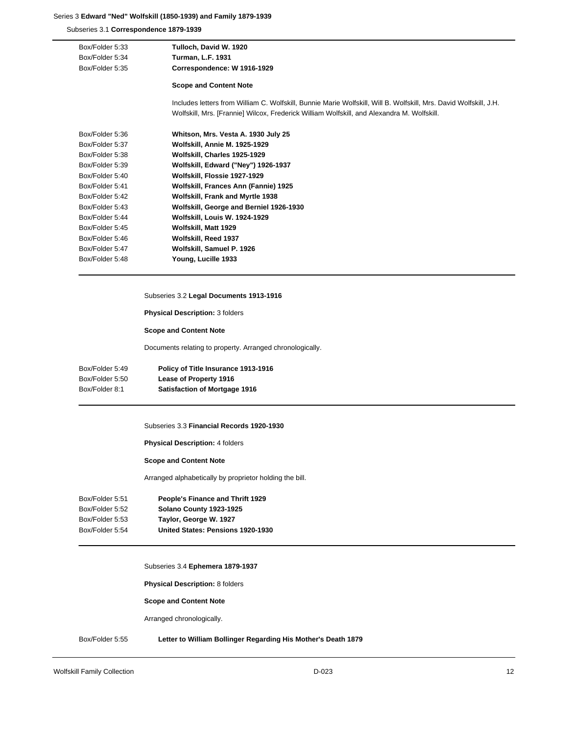Subseries 3.1 **Correspondence 1879-1939**

| Box/Folder 5:33 | Tulloch, David W. 1920                                                                                            |
|-----------------|-------------------------------------------------------------------------------------------------------------------|
| Box/Folder 5:34 | <b>Turman, L.F. 1931</b>                                                                                          |
| Box/Folder 5:35 | Correspondence: W 1916-1929                                                                                       |
|                 | <b>Scope and Content Note</b>                                                                                     |
|                 | Includes letters from William C. Wolfskill, Bunnie Marie Wolfskill, Will B. Wolfskill, Mrs. David Wolfskill, J.H. |
|                 | Wolfskill, Mrs. [Frannie] Wilcox, Frederick William Wolfskill, and Alexandra M. Wolfskill.                        |
| Box/Folder 5:36 | Whitson, Mrs. Vesta A. 1930 July 25                                                                               |
| Box/Folder 5:37 | Wolfskill, Annie M. 1925-1929                                                                                     |
| Box/Folder 5:38 | Wolfskill, Charles 1925-1929                                                                                      |
| Box/Folder 5:39 | Wolfskill, Edward ("Ney") 1926-1937                                                                               |
| Box/Folder 5:40 | Wolfskill, Flossie 1927-1929                                                                                      |
| Box/Folder 5:41 | Wolfskill, Frances Ann (Fannie) 1925                                                                              |
| Box/Folder 5:42 | Wolfskill, Frank and Myrtle 1938                                                                                  |
| Box/Folder 5:43 | Wolfskill, George and Berniel 1926-1930                                                                           |
| Box/Folder 5:44 | Wolfskill, Louis W. 1924-1929                                                                                     |
| Box/Folder 5:45 | Wolfskill, Matt 1929                                                                                              |
| Box/Folder 5:46 | Wolfskill, Reed 1937                                                                                              |
| Box/Folder 5:47 | Wolfskill, Samuel P. 1926                                                                                         |
| Box/Folder 5:48 | Young, Lucille 1933                                                                                               |
|                 |                                                                                                                   |

# Subseries 3.2 **Legal Documents 1913-1916**

**Physical Description:** 3 folders

# **Scope and Content Note**

Documents relating to property. Arranged chronologically.

| Box/Folder 5:49 | Policy of Title Insurance 1913-1916  |
|-----------------|--------------------------------------|
| Box/Folder 5:50 | Lease of Property 1916               |
| Box/Folder 8:1  | <b>Satisfaction of Mortgage 1916</b> |

#### Subseries 3.3 **Financial Records 1920-1930**

**Physical Description:** 4 folders

### **Scope and Content Note**

Arranged alphabetically by proprietor holding the bill.

| People's Finance and Thrift 1929  |
|-----------------------------------|
| Solano County 1923-1925           |
| Taylor, George W. 1927            |
| United States: Pensions 1920-1930 |
|                                   |

# Subseries 3.4 **Ephemera 1879-1937**

**Physical Description:** 8 folders

**Scope and Content Note**

Arranged chronologically.

# Box/Folder 5:55 **Letter to William Bollinger Regarding His Mother's Death 1879**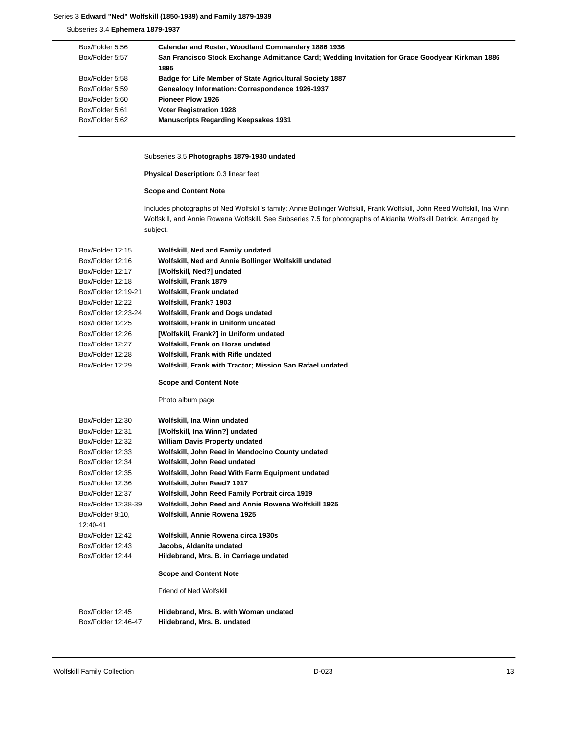Subseries 3.4 **Ephemera 1879-1937**

| Box/Folder 5:56 | Calendar and Roster, Woodland Commandery 1886 1936                                               |
|-----------------|--------------------------------------------------------------------------------------------------|
| Box/Folder 5:57 | San Francisco Stock Exchange Admittance Card; Wedding Invitation for Grace Goodyear Kirkman 1886 |
|                 | 1895                                                                                             |
| Box/Folder 5:58 | <b>Badge for Life Member of State Agricultural Society 1887</b>                                  |
| Box/Folder 5:59 | Genealogy Information: Correspondence 1926-1937                                                  |
| Box/Folder 5:60 | <b>Pioneer Plow 1926</b>                                                                         |
| Box/Folder 5:61 | <b>Voter Registration 1928</b>                                                                   |
| Box/Folder 5:62 | <b>Manuscripts Regarding Keepsakes 1931</b>                                                      |

# Subseries 3.5 **Photographs 1879-1930 undated**

**Physical Description:** 0.3 linear feet

# **Scope and Content Note**

Includes photographs of Ned Wolfskill's family: Annie Bollinger Wolfskill, Frank Wolfskill, John Reed Wolfskill, Ina Winn Wolfskill, and Annie Rowena Wolfskill. See Subseries 7.5 for photographs of Aldanita Wolfskill Detrick. Arranged by subject.

| Wolfskill, Ned and Family undated                         |
|-----------------------------------------------------------|
| Wolfskill, Ned and Annie Bollinger Wolfskill undated      |
| [Wolfskill, Ned?] undated                                 |
| Wolfskill, Frank 1879                                     |
| Wolfskill, Frank undated                                  |
| Wolfskill, Frank? 1903                                    |
| Wolfskill, Frank and Dogs undated                         |
| Wolfskill, Frank in Uniform undated                       |
| [Wolfskill, Frank?] in Uniform undated                    |
| Wolfskill, Frank on Horse undated                         |
| Wolfskill, Frank with Rifle undated                       |
| Wolfskill, Frank with Tractor; Mission San Rafael undated |
| <b>Scope and Content Note</b>                             |
| Photo album page                                          |
| Wolfskill, Ina Winn undated                               |
| [Wolfskill, Ina Winn?] undated                            |
| <b>William Davis Property undated</b>                     |
| Wolfskill, John Reed in Mendocino County undated          |
| Wolfskill, John Reed undated                              |
| Wolfskill, John Reed With Farm Equipment undated          |
| Wolfskill, John Reed? 1917                                |
| Wolfskill, John Reed Family Portrait circa 1919           |
| Wolfskill, John Reed and Annie Rowena Wolfskill 1925      |
| Wolfskill, Annie Rowena 1925                              |
|                                                           |
| Wolfskill, Annie Rowena circa 1930s                       |
| Jacobs, Aldanita undated                                  |
| Hildebrand, Mrs. B. in Carriage undated                   |
| <b>Scope and Content Note</b>                             |
| Friend of Ned Wolfskill                                   |
| Hildebrand, Mrs. B. with Woman undated                    |
| Hildebrand, Mrs. B. undated                               |
|                                                           |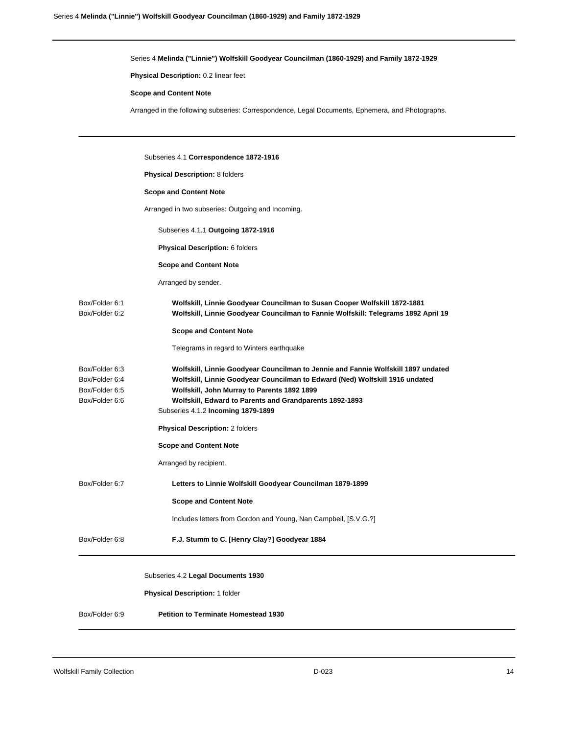Series 4 **Melinda ("Linnie") Wolfskill Goodyear Councilman (1860-1929) and Family 1872-1929**

**Physical Description:** 0.2 linear feet

### **Scope and Content Note**

Arranged in the following subseries: Correspondence, Legal Documents, Ephemera, and Photographs.

|                                                                      | Subseries 4.1 Correspondence 1872-1916                                                                                                                                                                                                                                                                            |
|----------------------------------------------------------------------|-------------------------------------------------------------------------------------------------------------------------------------------------------------------------------------------------------------------------------------------------------------------------------------------------------------------|
|                                                                      | <b>Physical Description: 8 folders</b>                                                                                                                                                                                                                                                                            |
|                                                                      | <b>Scope and Content Note</b>                                                                                                                                                                                                                                                                                     |
|                                                                      | Arranged in two subseries: Outgoing and Incoming.                                                                                                                                                                                                                                                                 |
|                                                                      | Subseries 4.1.1 Outgoing 1872-1916                                                                                                                                                                                                                                                                                |
|                                                                      | Physical Description: 6 folders                                                                                                                                                                                                                                                                                   |
|                                                                      | <b>Scope and Content Note</b>                                                                                                                                                                                                                                                                                     |
|                                                                      | Arranged by sender.                                                                                                                                                                                                                                                                                               |
| Box/Folder 6:1<br>Box/Folder 6:2                                     | Wolfskill, Linnie Goodyear Councilman to Susan Cooper Wolfskill 1872-1881<br>Wolfskill, Linnie Goodyear Councilman to Fannie Wolfskill: Telegrams 1892 April 19                                                                                                                                                   |
|                                                                      | <b>Scope and Content Note</b>                                                                                                                                                                                                                                                                                     |
|                                                                      | Telegrams in regard to Winters earthquake                                                                                                                                                                                                                                                                         |
| Box/Folder 6:3<br>Box/Folder 6:4<br>Box/Folder 6:5<br>Box/Folder 6:6 | Wolfskill, Linnie Goodyear Councilman to Jennie and Fannie Wolfskill 1897 undated<br>Wolfskill, Linnie Goodyear Councilman to Edward (Ned) Wolfskill 1916 undated<br>Wolfskill, John Murray to Parents 1892 1899<br>Wolfskill, Edward to Parents and Grandparents 1892-1893<br>Subseries 4.1.2 Incoming 1879-1899 |
|                                                                      | <b>Physical Description: 2 folders</b>                                                                                                                                                                                                                                                                            |
|                                                                      | <b>Scope and Content Note</b>                                                                                                                                                                                                                                                                                     |
|                                                                      | Arranged by recipient.                                                                                                                                                                                                                                                                                            |
| Box/Folder 6:7                                                       | Letters to Linnie Wolfskill Goodyear Councilman 1879-1899                                                                                                                                                                                                                                                         |
|                                                                      | <b>Scope and Content Note</b>                                                                                                                                                                                                                                                                                     |
|                                                                      | Includes letters from Gordon and Young, Nan Campbell, [S.V.G.?]                                                                                                                                                                                                                                                   |
| Box/Folder 6:8                                                       | F.J. Stumm to C. [Henry Clay?] Goodyear 1884                                                                                                                                                                                                                                                                      |
|                                                                      | Subseries 4.2 Legal Documents 1930                                                                                                                                                                                                                                                                                |
|                                                                      | Physical Description: 1 folder                                                                                                                                                                                                                                                                                    |
| Box/Folder 6:9                                                       | <b>Petition to Terminate Homestead 1930</b>                                                                                                                                                                                                                                                                       |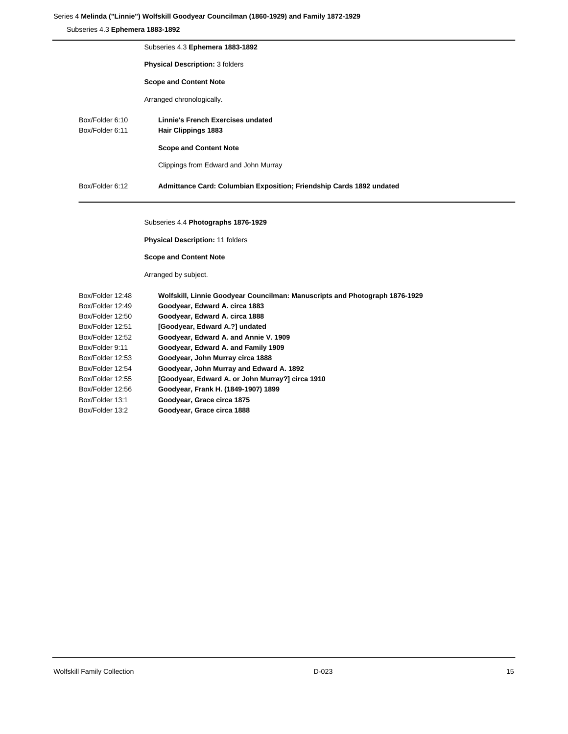# Series 4 **Melinda ("Linnie") Wolfskill Goodyear Councilman (1860-1929) and Family 1872-1929**

Subseries 4.3 **Ephemera 1883-1892**

|                                    | Subseries 4.3 Ephemera 1883-1892                                     |
|------------------------------------|----------------------------------------------------------------------|
|                                    | <b>Physical Description: 3 folders</b>                               |
|                                    | <b>Scope and Content Note</b>                                        |
|                                    | Arranged chronologically.                                            |
| Box/Folder 6:10<br>Box/Folder 6:11 | Linnie's French Exercises undated<br><b>Hair Clippings 1883</b>      |
|                                    | <b>Scope and Content Note</b>                                        |
|                                    | Clippings from Edward and John Murray                                |
| Box/Folder 6:12                    | Admittance Card: Columbian Exposition; Friendship Cards 1892 undated |
|                                    |                                                                      |

Subseries 4.4 **Photographs 1876-1929**

**Physical Description:** 11 folders

**Scope and Content Note**

Arranged by subject.

| Box/Folder 12:48 | Wolfskill, Linnie Goodyear Councilman: Manuscripts and Photograph 1876-1929 |
|------------------|-----------------------------------------------------------------------------|
| Box/Folder 12:49 | Goodyear, Edward A. circa 1883                                              |
| Box/Folder 12:50 | Goodyear, Edward A. circa 1888                                              |
| Box/Folder 12:51 | [Goodyear, Edward A.?] undated                                              |
| Box/Folder 12:52 | Goodyear, Edward A. and Annie V. 1909                                       |
| Box/Folder 9:11  | Goodyear, Edward A. and Family 1909                                         |
| Box/Folder 12:53 | Goodyear, John Murray circa 1888                                            |
| Box/Folder 12:54 | Goodyear, John Murray and Edward A. 1892                                    |
| Box/Folder 12:55 | [Goodyear, Edward A. or John Murray?] circa 1910                            |
| Box/Folder 12:56 | Goodyear, Frank H. (1849-1907) 1899                                         |
| Box/Folder 13:1  | Goodyear, Grace circa 1875                                                  |
| Box/Folder 13:2  | Goodyear, Grace circa 1888                                                  |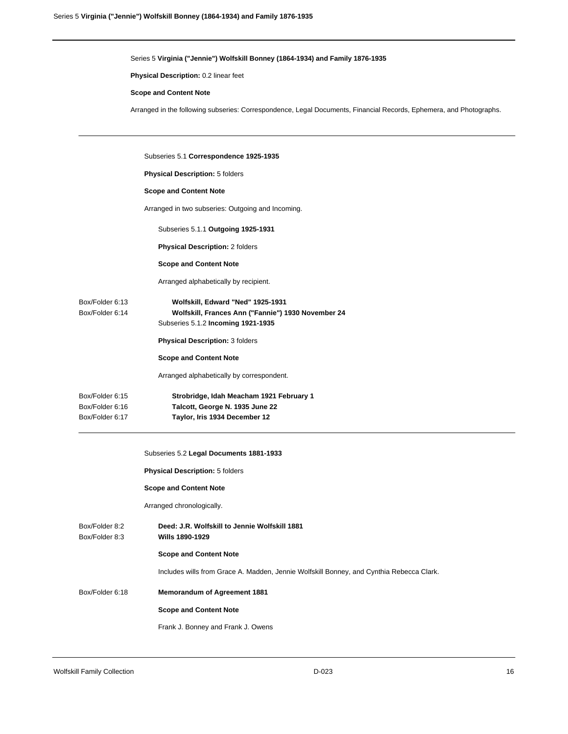Series 5 **Virginia ("Jennie") Wolfskill Bonney (1864-1934) and Family 1876-1935**

**Physical Description:** 0.2 linear feet

### **Scope and Content Note**

Arranged in the following subseries: Correspondence, Legal Documents, Financial Records, Ephemera, and Photographs.

|                                    | Subseries 5.1 Correspondence 1925-1935                                                                                        |
|------------------------------------|-------------------------------------------------------------------------------------------------------------------------------|
|                                    | <b>Physical Description: 5 folders</b>                                                                                        |
|                                    | <b>Scope and Content Note</b>                                                                                                 |
|                                    | Arranged in two subseries: Outgoing and Incoming.                                                                             |
|                                    | Subseries 5.1.1 Outgoing 1925-1931                                                                                            |
|                                    | <b>Physical Description: 2 folders</b>                                                                                        |
|                                    | <b>Scope and Content Note</b>                                                                                                 |
|                                    | Arranged alphabetically by recipient.                                                                                         |
| Box/Folder 6.13<br>Box/Folder 6:14 | Wolfskill, Edward "Ned" 1925-1931<br>Wolfskill, Frances Ann ("Fannie") 1930 November 24<br>Subseries 5.1.2 Incoming 1921-1935 |
|                                    | <b>Physical Description: 3 folders</b>                                                                                        |
|                                    | <b>Scope and Content Note</b>                                                                                                 |
|                                    | Arranged alphabetically by correspondent.                                                                                     |
| Box/Folder 6:15                    | Strobridge, Idah Meacham 1921 February 1                                                                                      |
| Box/Folder 6:16                    | Talcott, George N. 1935 June 22                                                                                               |
| Box/Folder 6:17                    | Taylor, Iris 1934 December 12                                                                                                 |

|                                  | Subseries 5.2 Legal Documents 1881-1933                                                  |
|----------------------------------|------------------------------------------------------------------------------------------|
|                                  | <b>Physical Description: 5 folders</b>                                                   |
|                                  | <b>Scope and Content Note</b>                                                            |
|                                  | Arranged chronologically.                                                                |
| Box/Folder 8:2<br>Box/Folder 8:3 | Deed: J.R. Wolfskill to Jennie Wolfskill 1881<br><b>Wills 1890-1929</b>                  |
|                                  | <b>Scope and Content Note</b>                                                            |
|                                  | Includes wills from Grace A. Madden, Jennie Wolfskill Bonney, and Cynthia Rebecca Clark. |
| Box/Folder 6:18                  | <b>Memorandum of Agreement 1881</b>                                                      |
|                                  | <b>Scope and Content Note</b>                                                            |
|                                  | Frank J. Bonney and Frank J. Owens                                                       |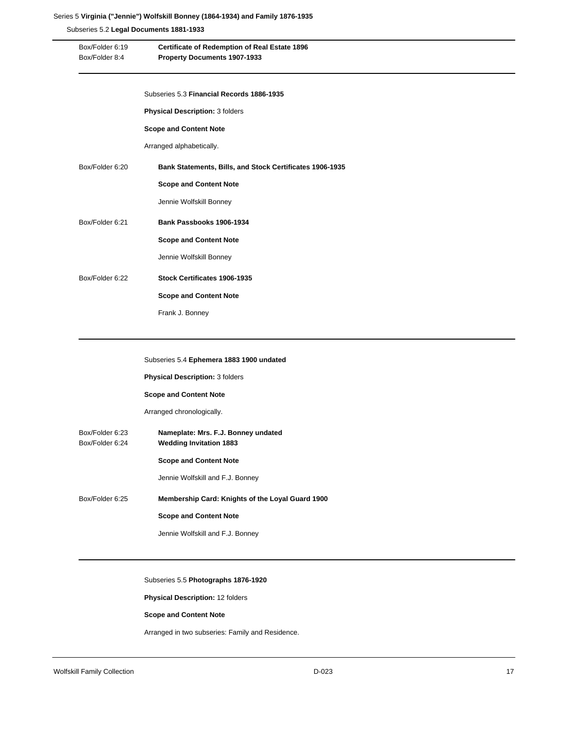### Series 5 **Virginia ("Jennie") Wolfskill Bonney (1864-1934) and Family 1876-1935**

Subseries 5.2 **Legal Documents 1881-1933**

| Box/Folder 6:19<br>Box/Folder 8:4 | Certificate of Redemption of Real Estate 1896<br>Property Documents 1907-1933 |
|-----------------------------------|-------------------------------------------------------------------------------|
|                                   | Subseries 5.3 Financial Records 1886-1935                                     |
|                                   | Physical Description: 3 folders                                               |
|                                   | <b>Scope and Content Note</b>                                                 |
|                                   | Arranged alphabetically.                                                      |
| Box/Folder 6:20                   | Bank Statements, Bills, and Stock Certificates 1906-1935                      |
|                                   | <b>Scope and Content Note</b>                                                 |
|                                   | Jennie Wolfskill Bonney                                                       |
| Box/Folder 6:21                   | Bank Passbooks 1906-1934                                                      |
|                                   | <b>Scope and Content Note</b>                                                 |
|                                   | Jennie Wolfskill Bonney                                                       |
| Box/Folder 6:22                   | Stock Certificates 1906-1935                                                  |
|                                   | <b>Scope and Content Note</b>                                                 |
|                                   | Frank J. Bonney                                                               |

| Subseries 5.4 Ephemera 1883 1900 undated |  |  |
|------------------------------------------|--|--|
|------------------------------------------|--|--|

**Physical Description:** 3 folders

**Scope and Content Note**

Arranged chronologically.

Box/Folder 6:23 **Nameplate: Mrs. F.J. Bonney undated** Box/Folder 6:24 **Wedding Invitation 1883 Scope and Content Note** Jennie Wolfskill and F.J. Bonney Box/Folder 6:25 **Membership Card: Knights of the Loyal Guard 1900 Scope and Content Note**

Jennie Wolfskill and F.J. Bonney

# Subseries 5.5 **Photographs 1876-1920**

**Physical Description:** 12 folders

# **Scope and Content Note**

Arranged in two subseries: Family and Residence.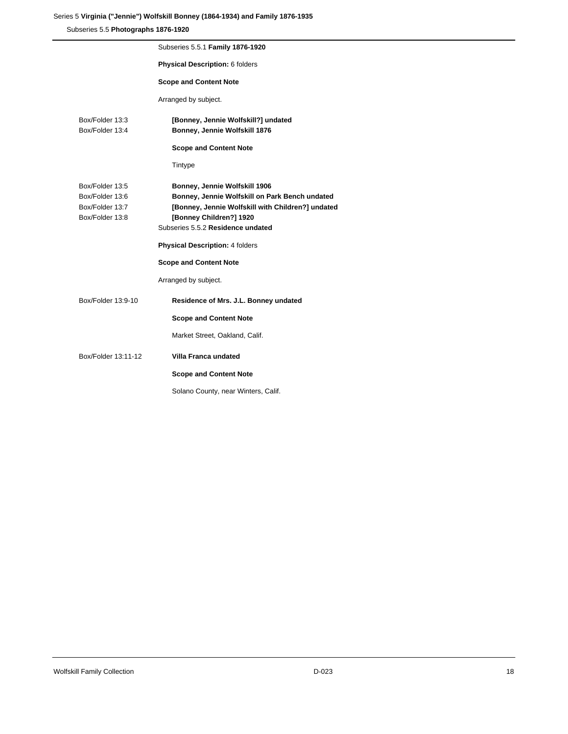# Series 5 **Virginia ("Jennie") Wolfskill Bonney (1864-1934) and Family 1876-1935**

Subseries 5.5 **Photographs 1876-1920**

|                                                                          | Subseries 5.5.1 Family 1876-1920                                                                                                                                                                     |
|--------------------------------------------------------------------------|------------------------------------------------------------------------------------------------------------------------------------------------------------------------------------------------------|
|                                                                          | Physical Description: 6 folders                                                                                                                                                                      |
|                                                                          | <b>Scope and Content Note</b>                                                                                                                                                                        |
|                                                                          | Arranged by subject.                                                                                                                                                                                 |
| Box/Folder 13:3<br>Box/Folder 13:4                                       | [Bonney, Jennie Wolfskill?] undated<br>Bonney, Jennie Wolfskill 1876                                                                                                                                 |
|                                                                          | <b>Scope and Content Note</b>                                                                                                                                                                        |
|                                                                          | Tintype                                                                                                                                                                                              |
| Box/Folder 13:5<br>Box/Folder 13:6<br>Box/Folder 13:7<br>Box/Folder 13:8 | Bonney, Jennie Wolfskill 1906<br>Bonney, Jennie Wolfskill on Park Bench undated<br>[Bonney, Jennie Wolfskill with Children?] undated<br>[Bonney Children?] 1920<br>Subseries 5.5.2 Residence undated |
|                                                                          | <b>Physical Description: 4 folders</b>                                                                                                                                                               |
|                                                                          | <b>Scope and Content Note</b>                                                                                                                                                                        |
|                                                                          | Arranged by subject.                                                                                                                                                                                 |
| Box/Folder 13:9-10                                                       | Residence of Mrs. J.L. Bonney undated                                                                                                                                                                |
|                                                                          | <b>Scope and Content Note</b>                                                                                                                                                                        |
|                                                                          | Market Street, Oakland, Calif.                                                                                                                                                                       |
| Box/Folder 13:11-12                                                      | Villa Franca undated                                                                                                                                                                                 |
|                                                                          | <b>Scope and Content Note</b>                                                                                                                                                                        |
|                                                                          | Solano County, near Winters, Calif.                                                                                                                                                                  |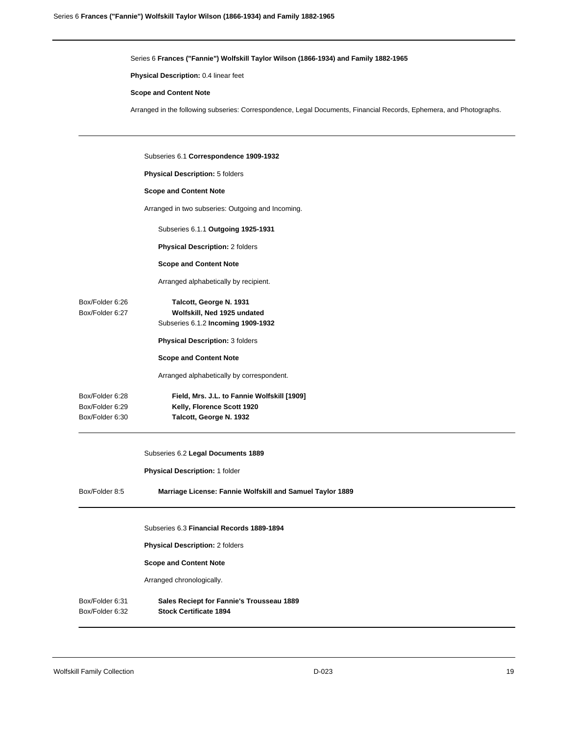Series 6 **Frances ("Fannie") Wolfskill Taylor Wilson (1866-1934) and Family 1882-1965**

**Physical Description:** 0.4 linear feet

#### **Scope and Content Note**

Arranged in the following subseries: Correspondence, Legal Documents, Financial Records, Ephemera, and Photographs.

|                                    | Subseries 6.1 Correspondence 1909-1932                                                       |
|------------------------------------|----------------------------------------------------------------------------------------------|
|                                    | <b>Physical Description: 5 folders</b>                                                       |
|                                    | <b>Scope and Content Note</b>                                                                |
|                                    | Arranged in two subseries: Outgoing and Incoming.                                            |
|                                    | Subseries 6.1.1 Outgoing 1925-1931                                                           |
|                                    | <b>Physical Description: 2 folders</b>                                                       |
|                                    | <b>Scope and Content Note</b>                                                                |
|                                    | Arranged alphabetically by recipient.                                                        |
| Box/Folder 6:26<br>Box/Folder 6:27 | Talcott, George N. 1931<br>Wolfskill, Ned 1925 undated<br>Subseries 6.1.2 Incoming 1909-1932 |
|                                    | <b>Physical Description: 3 folders</b>                                                       |
|                                    | <b>Scope and Content Note</b>                                                                |
|                                    | Arranged alphabetically by correspondent.                                                    |
| Box/Folder 6:28                    | Field, Mrs. J.L. to Fannie Wolfskill [1909]                                                  |
| Box/Folder 6:29                    | Kelly, Florence Scott 1920                                                                   |
| Box/Folder 6:30                    | Talcott, George N. 1932                                                                      |

Subseries 6.2 **Legal Documents 1889**

**Physical Description:** 1 folder

Box/Folder 8:5 **Marriage License: Fannie Wolfskill and Samuel Taylor 1889**

Subseries 6.3 **Financial Records 1889-1894**

**Physical Description:** 2 folders

**Scope and Content Note**

Arranged chronologically.

Box/Folder 6:31 **Sales Reciept for Fannie's Trousseau 1889** Box/Folder 6:32 **Stock Certificate 1894**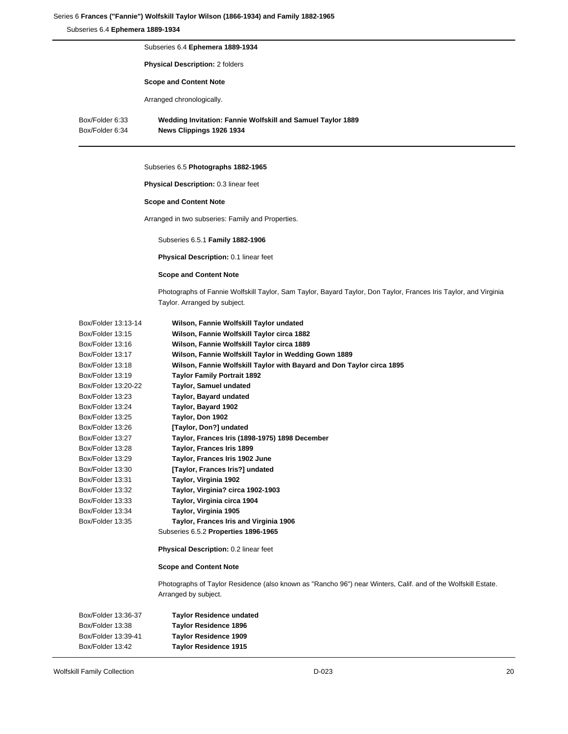### Series 6 **Frances ("Fannie") Wolfskill Taylor Wilson (1866-1934) and Family 1882-1965**

Subseries 6.4 **Ephemera 1889-1934**

Subseries 6.4 **Ephemera 1889-1934 Physical Description:** 2 folders **Scope and Content Note** Arranged chronologically. Box/Folder 6:33 **Wedding Invitation: Fannie Wolfskill and Samuel Taylor 1889** Box/Folder 6:34 **News Clippings 1926 1934**

# Subseries 6.5 **Photographs 1882-1965**

**Physical Description:** 0.3 linear feet

### **Scope and Content Note**

Arranged in two subseries: Family and Properties.

Subseries 6.5.1 **Family 1882-1906**

**Physical Description:** 0.1 linear feet

# **Scope and Content Note**

Photographs of Fannie Wolfskill Taylor, Sam Taylor, Bayard Taylor, Don Taylor, Frances Iris Taylor, and Virginia Taylor. Arranged by subject.

| Box/Folder 13:13-14 | Wilson, Fannie Wolfskill Taylor undated                                                                       |
|---------------------|---------------------------------------------------------------------------------------------------------------|
| Box/Folder 13:15    | Wilson, Fannie Wolfskill Taylor circa 1882                                                                    |
| Box/Folder 13:16    | Wilson, Fannie Wolfskill Taylor circa 1889                                                                    |
| Box/Folder 13:17    | Wilson, Fannie Wolfskill Taylor in Wedding Gown 1889                                                          |
| Box/Folder 13:18    | Wilson, Fannie Wolfskill Taylor with Bayard and Don Taylor circa 1895                                         |
| Box/Folder 13:19    | <b>Taylor Family Portrait 1892</b>                                                                            |
| Box/Folder 13:20-22 | <b>Taylor, Samuel undated</b>                                                                                 |
| Box/Folder 13:23    | Taylor, Bayard undated                                                                                        |
| Box/Folder 13:24    | Taylor, Bayard 1902                                                                                           |
| Box/Folder 13:25    | Taylor, Don 1902                                                                                              |
| Box/Folder 13:26    | [Taylor, Don?] undated                                                                                        |
| Box/Folder 13:27    | Taylor, Frances Iris (1898-1975) 1898 December                                                                |
| Box/Folder 13:28    | Taylor, Frances Iris 1899                                                                                     |
| Box/Folder 13:29    | Taylor, Frances Iris 1902 June                                                                                |
| Box/Folder 13:30    | [Taylor, Frances Iris?] undated                                                                               |
| Box/Folder 13:31    | Taylor, Virginia 1902                                                                                         |
| Box/Folder 13:32    | Taylor, Virginia? circa 1902-1903                                                                             |
| Box/Folder 13:33    | Taylor, Virginia circa 1904                                                                                   |
| Box/Folder 13:34    | Taylor, Virginia 1905                                                                                         |
| Box/Folder 13:35    | Taylor, Frances Iris and Virginia 1906                                                                        |
|                     | Subseries 6.5.2 Properties 1896-1965                                                                          |
|                     | Physical Description: 0.2 linear feet                                                                         |
|                     | <b>Scope and Content Note</b>                                                                                 |
|                     | Photographs of Taylor Residence (also known as "Rancho 96") near Winters, Calif. and of the Wolfskill Estate. |
|                     | Arranged by subject.                                                                                          |
| Box/Folder 13:36-37 | <b>Taylor Residence undated</b>                                                                               |
| Box/Folder 13:38    | <b>Taylor Residence 1896</b>                                                                                  |
| Box/Folder 13:39-41 | <b>Taylor Residence 1909</b>                                                                                  |
| Box/Folder 13:42    | <b>Taylor Residence 1915</b>                                                                                  |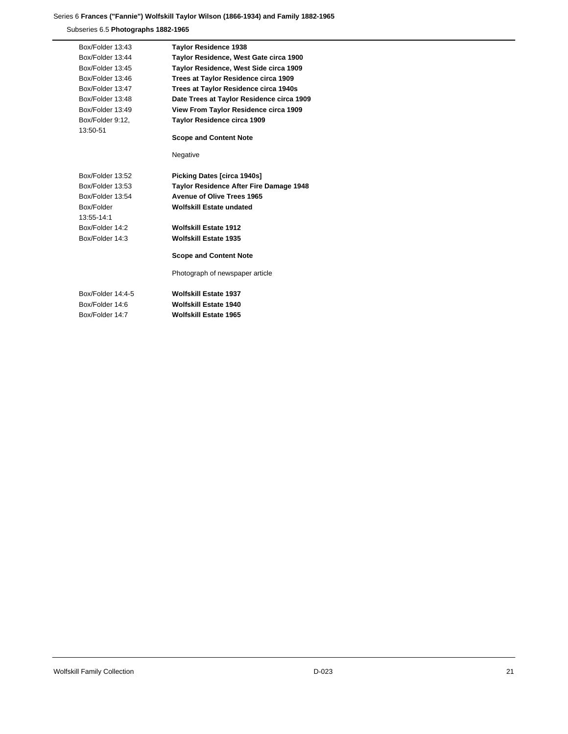# Series 6 **Frances ("Fannie") Wolfskill Taylor Wilson (1866-1934) and Family 1882-1965**

Subseries 6.5 **Photographs 1882-1965**

| Box/Folder 13:43  | <b>Taylor Residence 1938</b>              |
|-------------------|-------------------------------------------|
| Box/Folder 13:44  | Taylor Residence, West Gate circa 1900    |
| Box/Folder 13:45  | Taylor Residence, West Side circa 1909    |
| Box/Folder 13:46  | Trees at Taylor Residence circa 1909      |
| Box/Folder 13:47  | Trees at Taylor Residence circa 1940s     |
| Box/Folder 13:48  | Date Trees at Taylor Residence circa 1909 |
| Box/Folder 13:49  | View From Taylor Residence circa 1909     |
| Box/Folder 9:12,  | Taylor Residence circa 1909               |
| 13:50-51          |                                           |
|                   | <b>Scope and Content Note</b>             |
|                   |                                           |
|                   | Negative                                  |
| Box/Folder 13:52  | <b>Picking Dates [circa 1940s]</b>        |
| Box/Folder 13:53  | Taylor Residence After Fire Damage 1948   |
| Box/Folder 13:54  | <b>Avenue of Olive Trees 1965</b>         |
| Box/Folder        | <b>Wolfskill Estate undated</b>           |
| 13:55-14:1        |                                           |
| Box/Folder 14:2   | <b>Wolfskill Estate 1912</b>              |
| Box/Folder 14:3   | <b>Wolfskill Estate 1935</b>              |
|                   |                                           |
|                   | <b>Scope and Content Note</b>             |
|                   | Photograph of newspaper article           |
| Box/Folder 14:4-5 | <b>Wolfskill Estate 1937</b>              |
| Box/Folder 14:6   | Wolfskill Estate 1940                     |
| Box/Folder 14.7   | <b>Wolfskill Estate 1965</b>              |
|                   |                                           |

Wolfskill Family Collection **21 D-023** 21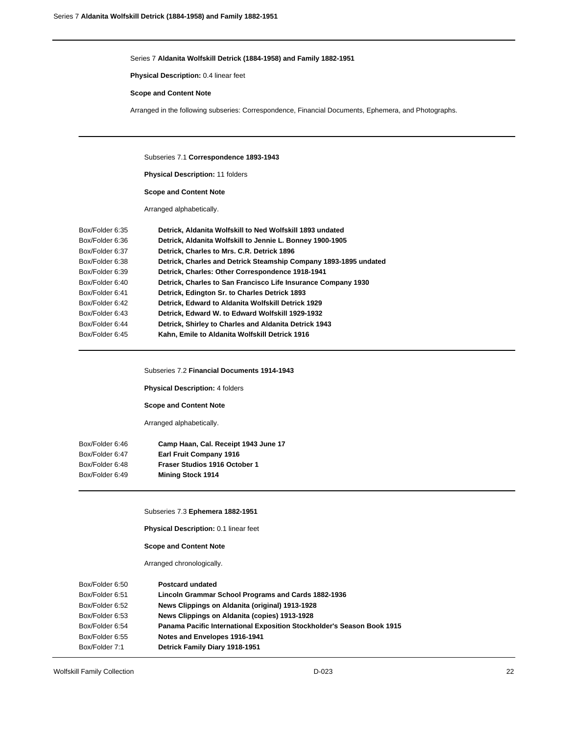### Series 7 **Aldanita Wolfskill Detrick (1884-1958) and Family 1882-1951**

**Physical Description:** 0.4 linear feet

### **Scope and Content Note**

Arranged in the following subseries: Correspondence, Financial Documents, Ephemera, and Photographs.

Subseries 7.1 **Correspondence 1893-1943**

**Physical Description:** 11 folders

**Scope and Content Note**

Arranged alphabetically.

| Box/Folder 6:35 | Detrick, Aldanita Wolfskill to Ned Wolfskill 1893 undated        |
|-----------------|------------------------------------------------------------------|
| Box/Folder 6:36 | Detrick, Aldanita Wolfskill to Jennie L. Bonney 1900-1905        |
| Box/Folder 6:37 | Detrick, Charles to Mrs. C.R. Detrick 1896                       |
| Box/Folder 6:38 | Detrick, Charles and Detrick Steamship Company 1893-1895 undated |
| Box/Folder 6:39 | Detrick, Charles: Other Correspondence 1918-1941                 |
| Box/Folder 6:40 | Detrick, Charles to San Francisco Life Insurance Company 1930    |
| Box/Folder 6:41 | Detrick, Edington Sr. to Charles Detrick 1893                    |
| Box/Folder 6:42 | Detrick, Edward to Aldanita Wolfskill Detrick 1929               |
| Box/Folder 6:43 | Detrick, Edward W. to Edward Wolfskill 1929-1932                 |
| Box/Folder 6:44 | Detrick, Shirley to Charles and Aldanita Detrick 1943            |
| Box/Folder 6:45 | Kahn, Emile to Aldanita Wolfskill Detrick 1916                   |
|                 |                                                                  |

Subseries 7.2 **Financial Documents 1914-1943**

**Physical Description:** 4 folders

**Scope and Content Note**

Arranged alphabetically.

| Box/Folder 6:46 | Camp Haan, Cal. Receipt 1943 June 17 |
|-----------------|--------------------------------------|
| Box/Folder 6:47 | <b>Earl Fruit Company 1916</b>       |
| Box/Folder 6:48 | Fraser Studios 1916 October 1        |
| Box/Folder 6:49 | <b>Mining Stock 1914</b>             |
|                 |                                      |

Subseries 7.3 **Ephemera 1882-1951**

**Physical Description:** 0.1 linear feet

**Scope and Content Note**

Arranged chronologically.

| <b>Postcard undated</b>                                                |
|------------------------------------------------------------------------|
| Lincoln Grammar School Programs and Cards 1882-1936                    |
| News Clippings on Aldanita (original) 1913-1928                        |
| News Clippings on Aldanita (copies) 1913-1928                          |
| Panama Pacific International Exposition Stockholder's Season Book 1915 |
| Notes and Envelopes 1916-1941                                          |
| Detrick Family Diary 1918-1951                                         |
|                                                                        |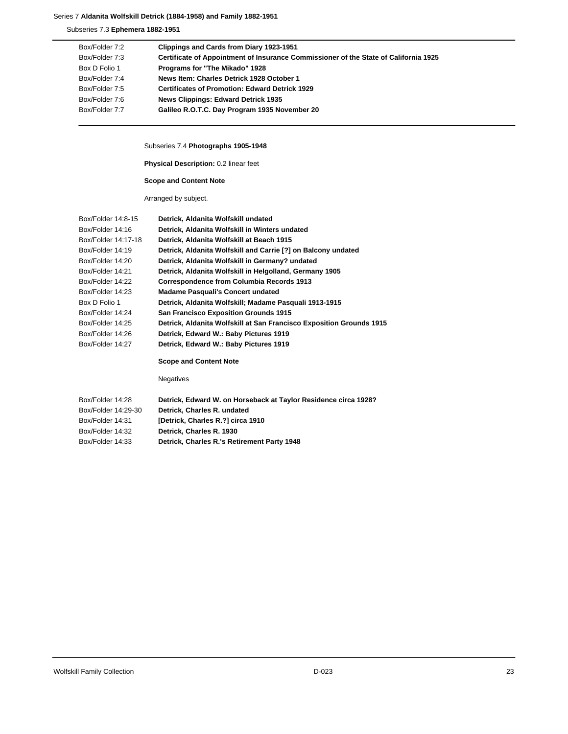# Series 7 **Aldanita Wolfskill Detrick (1884-1958) and Family 1882-1951**

Subseries 7.3 **Ephemera 1882-1951**

| Box/Folder 7:2 | Clippings and Cards from Diary 1923-1951                                             |
|----------------|--------------------------------------------------------------------------------------|
| Box/Folder 7:3 | Certificate of Appointment of Insurance Commissioner of the State of California 1925 |
| Box D Folio 1  | Programs for "The Mikado" 1928                                                       |
| Box/Folder 7:4 | News Item: Charles Detrick 1928 October 1                                            |
| Box/Folder 7:5 | <b>Certificates of Promotion: Edward Detrick 1929</b>                                |
| Box/Folder 7:6 | <b>News Clippings: Edward Detrick 1935</b>                                           |
| Box/Folder 7:7 | Galileo R.O.T.C. Day Program 1935 November 20                                        |

Subseries 7.4 **Photographs 1905-1948**

**Physical Description:** 0.2 linear feet

**Scope and Content Note**

Arranged by subject.

| Box/Folder 14:8-15  | Detrick, Aldanita Wolfskill undated                                  |
|---------------------|----------------------------------------------------------------------|
| Box/Folder 14:16    | Detrick, Aldanita Wolfskill in Winters undated                       |
| Box/Folder 14:17-18 | Detrick, Aldanita Wolfskill at Beach 1915                            |
| Box/Folder 14:19    | Detrick, Aldanita Wolfskill and Carrie [?] on Balcony undated        |
| Box/Folder 14:20    | Detrick, Aldanita Wolfskill in Germany? undated                      |
| Box/Folder 14:21    | Detrick, Aldanita Wolfskill in Helgolland, Germany 1905              |
| Box/Folder 14:22    | <b>Correspondence from Columbia Records 1913</b>                     |
| Box/Folder 14:23    | <b>Madame Pasquali's Concert undated</b>                             |
| Box D Folio 1       | Detrick, Aldanita Wolfskill; Madame Pasquali 1913-1915               |
| Box/Folder 14:24    | <b>San Francisco Exposition Grounds 1915</b>                         |
| Box/Folder 14:25    | Detrick, Aldanita Wolfskill at San Francisco Exposition Grounds 1915 |
| Box/Folder 14:26    | Detrick, Edward W.: Baby Pictures 1919                               |
| Box/Folder 14:27    | Detrick, Edward W.: Baby Pictures 1919                               |
|                     |                                                                      |

# **Scope and Content Note**

Negatives

| Box/Folder 14:28    | Detrick, Edward W. on Horseback at Taylor Residence circa 1928? |
|---------------------|-----------------------------------------------------------------|
| Box/Folder 14:29-30 | Detrick, Charles R. undated                                     |
| Box/Folder 14:31    | [Detrick, Charles R.?] circa 1910                               |
| Box/Folder 14:32    | Detrick, Charles R. 1930                                        |
| Box/Folder 14:33    | Detrick, Charles R.'s Retirement Party 1948                     |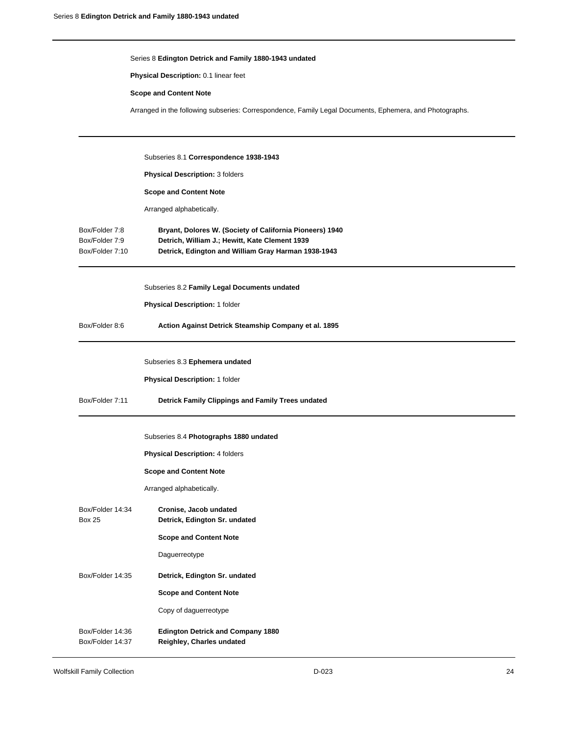|                                                     | Series 8 Edington Detrick and Family 1880-1943 undated                                                                                                            |
|-----------------------------------------------------|-------------------------------------------------------------------------------------------------------------------------------------------------------------------|
|                                                     | Physical Description: 0.1 linear feet                                                                                                                             |
|                                                     | <b>Scope and Content Note</b>                                                                                                                                     |
|                                                     | Arranged in the following subseries: Correspondence, Family Legal Documents, Ephemera, and Photographs.                                                           |
|                                                     | Subseries 8.1 Correspondence 1938-1943                                                                                                                            |
|                                                     | Physical Description: 3 folders                                                                                                                                   |
|                                                     | <b>Scope and Content Note</b>                                                                                                                                     |
|                                                     | Arranged alphabetically.                                                                                                                                          |
| Box/Folder 7:8<br>Box/Folder 7:9<br>Box/Folder 7:10 | Bryant, Dolores W. (Society of California Pioneers) 1940<br>Detrich, William J.; Hewitt, Kate Clement 1939<br>Detrick, Edington and William Gray Harman 1938-1943 |
|                                                     | Subseries 8.2 Family Legal Documents undated                                                                                                                      |
|                                                     | Physical Description: 1 folder                                                                                                                                    |
| Box/Folder 8:6                                      | Action Against Detrick Steamship Company et al. 1895                                                                                                              |
|                                                     | Subseries 8.3 Ephemera undated                                                                                                                                    |
|                                                     | Physical Description: 1 folder                                                                                                                                    |
| Box/Folder 7:11                                     | Detrick Family Clippings and Family Trees undated                                                                                                                 |
|                                                     | Subseries 8.4 Photographs 1880 undated                                                                                                                            |
|                                                     | Physical Description: 4 folders                                                                                                                                   |
|                                                     | <b>Scope and Content Note</b>                                                                                                                                     |
|                                                     | Arranged alphabetically.                                                                                                                                          |
| Box/Folder 14:34<br><b>Box 25</b>                   | Cronise, Jacob undated<br>Detrick, Edington Sr. undated                                                                                                           |
|                                                     | <b>Scope and Content Note</b>                                                                                                                                     |
|                                                     | Daguerreotype                                                                                                                                                     |
| Box/Folder 14:35                                    | Detrick, Edington Sr. undated                                                                                                                                     |
|                                                     | <b>Scope and Content Note</b>                                                                                                                                     |
|                                                     | Copy of daguerreotype                                                                                                                                             |
| Box/Folder 14:36<br>Box/Folder 14:37                | <b>Edington Detrick and Company 1880</b><br>Reighley, Charles undated                                                                                             |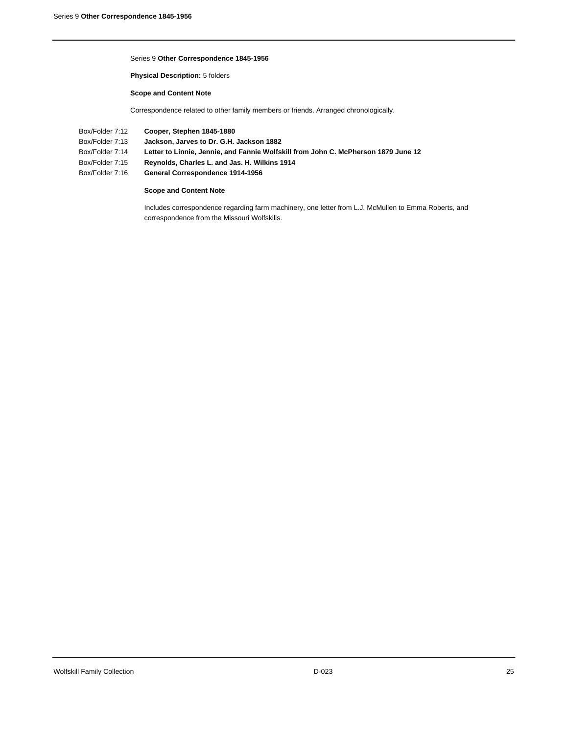#### Series 9 **Other Correspondence 1845-1956**

**Physical Description:** 5 folders

**Scope and Content Note**

Correspondence related to other family members or friends. Arranged chronologically.

- Box/Folder 7:12 **Cooper, Stephen 1845-1880**
- Box/Folder 7:13 **Jackson, Jarves to Dr. G.H. Jackson 1882**
- Box/Folder 7:14 **Letter to Linnie, Jennie, and Fannie Wolfskill from John C. McPherson 1879 June 12**
- Box/Folder 7:15 **Reynolds, Charles L. and Jas. H. Wilkins 1914**
- Box/Folder 7:16 **General Correspondence 1914-1956**

### **Scope and Content Note**

Includes correspondence regarding farm machinery, one letter from L.J. McMullen to Emma Roberts, and correspondence from the Missouri Wolfskills.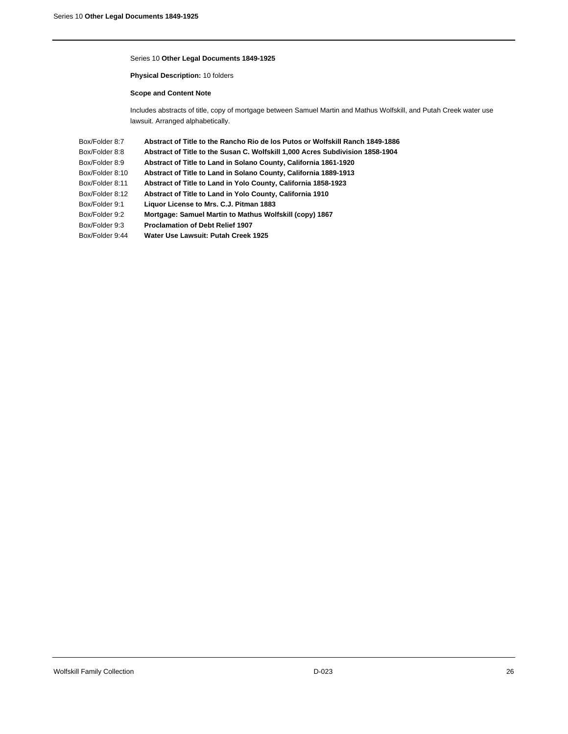#### Series 10 **Other Legal Documents 1849-1925**

**Physical Description:** 10 folders

**Scope and Content Note**

Includes abstracts of title, copy of mortgage between Samuel Martin and Mathus Wolfskill, and Putah Creek water use lawsuit. Arranged alphabetically.

Box/Folder 8:7 **Abstract of Title to the Rancho Rio de los Putos or Wolfskill Ranch 1849-1886** Box/Folder 8:8 **Abstract of Title to the Susan C. Wolfskill 1,000 Acres Subdivision 1858-1904** Box/Folder 8:9 **Abstract of Title to Land in Solano County, California 1861-1920** Box/Folder 8:10 **Abstract of Title to Land in Solano County, California 1889-1913** Box/Folder 8:11 **Abstract of Title to Land in Yolo County, California 1858-1923** Box/Folder 8:12 **Abstract of Title to Land in Yolo County, California 1910** Box/Folder 9:1 **Liquor License to Mrs. C.J. Pitman 1883** Box/Folder 9:2 **Mortgage: Samuel Martin to Mathus Wolfskill (copy) 1867** Box/Folder 9:3 **Proclamation of Debt Relief 1907** Box/Folder 9:44 **Water Use Lawsuit: Putah Creek 1925**

Wolfskill Family Collection 26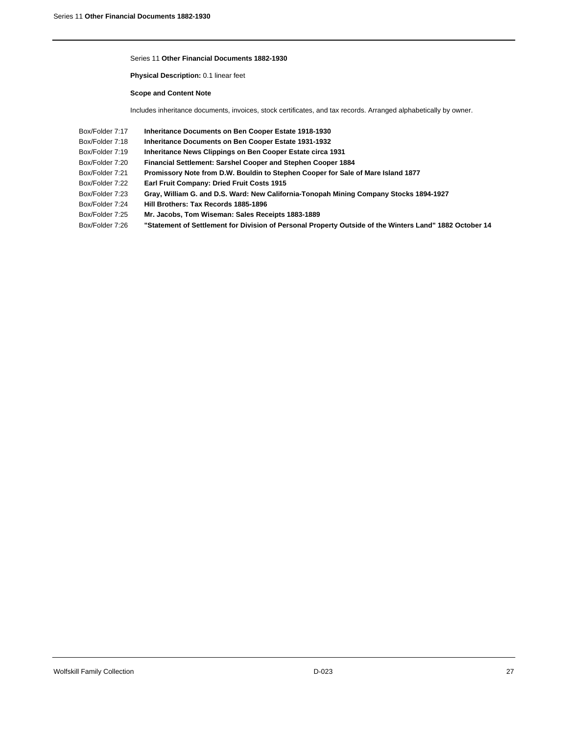#### Series 11 **Other Financial Documents 1882-1930**

**Physical Description:** 0.1 linear feet

**Scope and Content Note**

Includes inheritance documents, invoices, stock certificates, and tax records. Arranged alphabetically by owner.

- Box/Folder 7:17 **Inheritance Documents on Ben Cooper Estate 1918-1930**
- Box/Folder 7:18 **Inheritance Documents on Ben Cooper Estate 1931-1932**
- Box/Folder 7:19 **Inheritance News Clippings on Ben Cooper Estate circa 1931**
- Box/Folder 7:20 **Financial Settlement: Sarshel Cooper and Stephen Cooper 1884**
- Box/Folder 7:21 **Promissory Note from D.W. Bouldin to Stephen Cooper for Sale of Mare Island 1877**
- Box/Folder 7:22 **Earl Fruit Company: Dried Fruit Costs 1915**
- Box/Folder 7:23 **Gray, William G. and D.S. Ward: New California-Tonopah Mining Company Stocks 1894-1927**
- Box/Folder 7:24 **Hill Brothers: Tax Records 1885-1896**
- Box/Folder 7:25 **Mr. Jacobs, Tom Wiseman: Sales Receipts 1883-1889**

Box/Folder 7:26 **"Statement of Settlement for Division of Personal Property Outside of the Winters Land" 1882 October 14**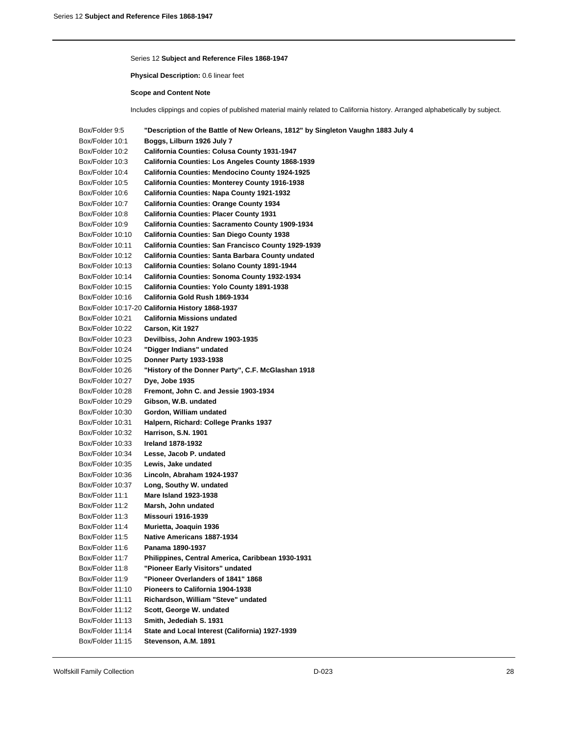#### Series 12 **Subject and Reference Files 1868-1947**

**Physical Description:** 0.6 linear feet

#### **Scope and Content Note**

Includes clippings and copies of published material mainly related to California history. Arranged alphabetically by subject.

Box/Folder 9:5 **"Description of the Battle of New Orleans, 1812" by Singleton Vaughn 1883 July 4** Box/Folder 10:1 **Boggs, Lilburn 1926 July 7** Box/Folder 10:2 **California Counties: Colusa County 1931-1947** Box/Folder 10:3 **California Counties: Los Angeles County 1868-1939** Box/Folder 10:4 **California Counties: Mendocino County 1924-1925** Box/Folder 10:5 **California Counties: Monterey County 1916-1938** Box/Folder 10:6 **California Counties: Napa County 1921-1932** Box/Folder 10:7 **California Counties: Orange County 1934** Box/Folder 10:8 **California Counties: Placer County 1931** Box/Folder 10:9 **California Counties: Sacramento County 1909-1934** Box/Folder 10:10 **California Counties: San Diego County 1938** Box/Folder 10:11 **California Counties: San Francisco County 1929-1939** Box/Folder 10:12 **California Counties: Santa Barbara County undated** Box/Folder 10:13 **California Counties: Solano County 1891-1944** Box/Folder 10:14 **California Counties: Sonoma County 1932-1934** Box/Folder 10:15 **California Counties: Yolo County 1891-1938** Box/Folder 10:16 **California Gold Rush 1869-1934** Box/Folder 10:17-20 **California History 1868-1937** Box/Folder 10:21 **California Missions undated** Box/Folder 10:22 **Carson, Kit 1927** Box/Folder 10:23 **Devilbiss, John Andrew 1903-1935** Box/Folder 10:24 **"Digger Indians" undated** Box/Folder 10:25 **Donner Party 1933-1938** Box/Folder 10:26 **"History of the Donner Party", C.F. McGlashan 1918** Box/Folder 10:27 **Dye, Jobe 1935** Box/Folder 10:28 **Fremont, John C. and Jessie 1903-1934** Box/Folder 10:29 **Gibson, W.B. undated** Box/Folder 10:30 **Gordon, William undated** Box/Folder 10:31 **Halpern, Richard: College Pranks 1937** Box/Folder 10:32 **Harrison, S.N. 1901** Box/Folder 10:33 **Ireland 1878-1932** Box/Folder 10:34 **Lesse, Jacob P. undated** Box/Folder 10:35 **Lewis, Jake undated** Box/Folder 10:36 **Lincoln, Abraham 1924-1937** Box/Folder 10:37 **Long, Southy W. undated** Box/Folder 11:1 **Mare Island 1923-1938** Box/Folder 11:2 **Marsh, John undated** Box/Folder 11:3 **Missouri 1916-1939** Box/Folder 11:4 **Murietta, Joaquin 1936** Box/Folder 11:5 **Native Americans 1887-1934** Box/Folder 11:6 **Panama 1890-1937** Box/Folder 11:7 **Philippines, Central America, Caribbean 1930-1931** Box/Folder 11:8 **"Pioneer Early Visitors" undated** Box/Folder 11:9 **"Pioneer Overlanders of 1841" 1868** Box/Folder 11:10 **Pioneers to California 1904-1938** Box/Folder 11:11 **Richardson, William "Steve" undated** Box/Folder 11:12 **Scott, George W. undated** Box/Folder 11:13 **Smith, Jedediah S. 1931** Box/Folder 11:14 **State and Local Interest (California) 1927-1939** Box/Folder 11:15 **Stevenson, A.M. 1891**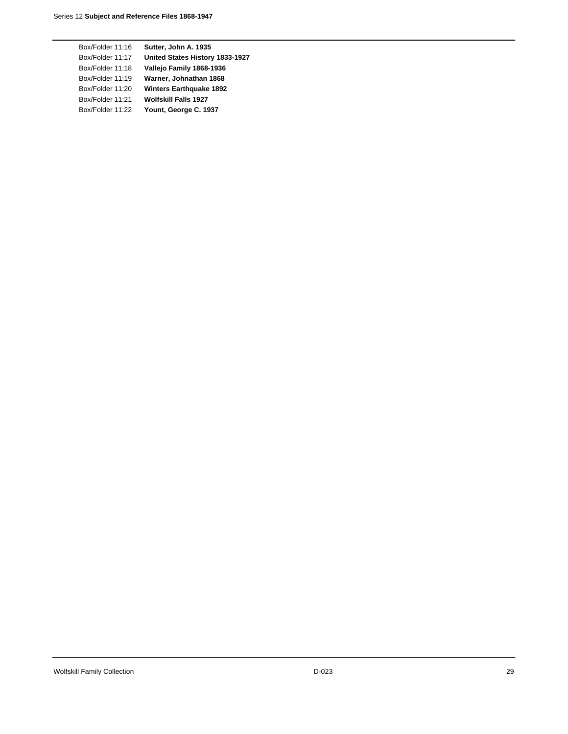| Box/Folder 11:16 | Sutter, John A. 1935            |
|------------------|---------------------------------|
| Box/Folder 11:17 | United States History 1833-1927 |
| Box/Folder 11:18 | Vallejo Family 1868-1936        |
| Box/Folder 11:19 | Warner, Johnathan 1868          |
| Box/Folder 11:20 | <b>Winters Earthquake 1892</b>  |
| Box/Folder 11:21 | <b>Wolfskill Falls 1927</b>     |
| Box/Folder 11:22 | Yount, George C. 1937           |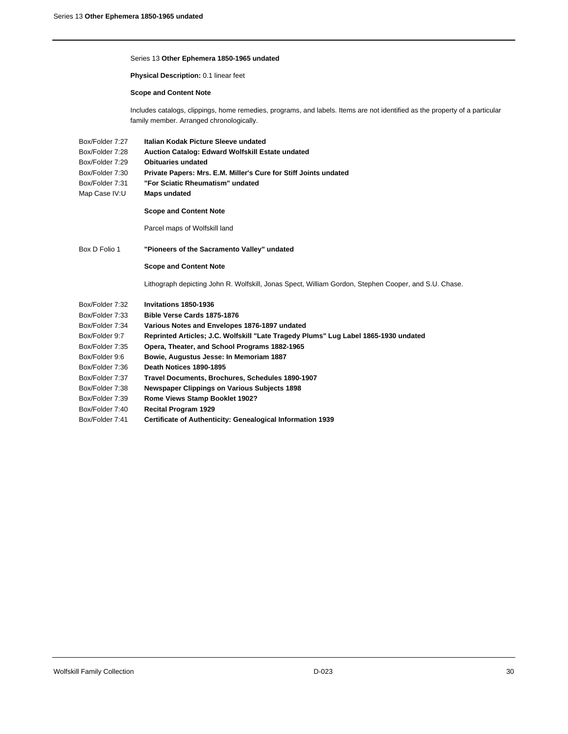#### Series 13 **Other Ephemera 1850-1965 undated**

**Physical Description:** 0.1 linear feet

#### **Scope and Content Note**

Includes catalogs, clippings, home remedies, programs, and labels. Items are not identified as the property of a particular family member. Arranged chronologically.

- Box/Folder 7:27 **Italian Kodak Picture Sleeve undated**
- Box/Folder 7:28 **Auction Catalog: Edward Wolfskill Estate undated**
- Box/Folder 7:29 **Obituaries undated**
- Box/Folder 7:30 **Private Papers: Mrs. E.M. Miller's Cure for Stiff Joints undated**
- Box/Folder 7:31 **"For Sciatic Rheumatism" undated**
- Map Case IV:U **Maps undated**

### **Scope and Content Note**

Parcel maps of Wolfskill land

### Box D Folio 1 **"Pioneers of the Sacramento Valley" undated**

### **Scope and Content Note**

Lithograph depicting John R. Wolfskill, Jonas Spect, William Gordon, Stephen Cooper, and S.U. Chase.

| Box/Folder 7:32 | Invitations 1850-1936                                                               |
|-----------------|-------------------------------------------------------------------------------------|
| Box/Folder 7:33 | Bible Verse Cards 1875-1876                                                         |
| Box/Folder 7:34 | Various Notes and Envelopes 1876-1897 undated                                       |
| Box/Folder 9:7  | Reprinted Articles; J.C. Wolfskill "Late Tragedy Plums" Lug Label 1865-1930 undated |
| Box/Folder 7:35 | Opera, Theater, and School Programs 1882-1965                                       |
| Box/Folder 9:6  | Bowie, Augustus Jesse: In Memoriam 1887                                             |
| Box/Folder 7:36 | Death Notices 1890-1895                                                             |
| Box/Folder 7:37 | Travel Documents, Brochures, Schedules 1890-1907                                    |
| Box/Folder 7:38 | <b>Newspaper Clippings on Various Subjects 1898</b>                                 |
| Box/Folder 7:39 | <b>Rome Views Stamp Booklet 1902?</b>                                               |
| Box/Folder 7:40 | <b>Recital Program 1929</b>                                                         |
| Box/Folder 7:41 | Certificate of Authenticity: Genealogical Information 1939                          |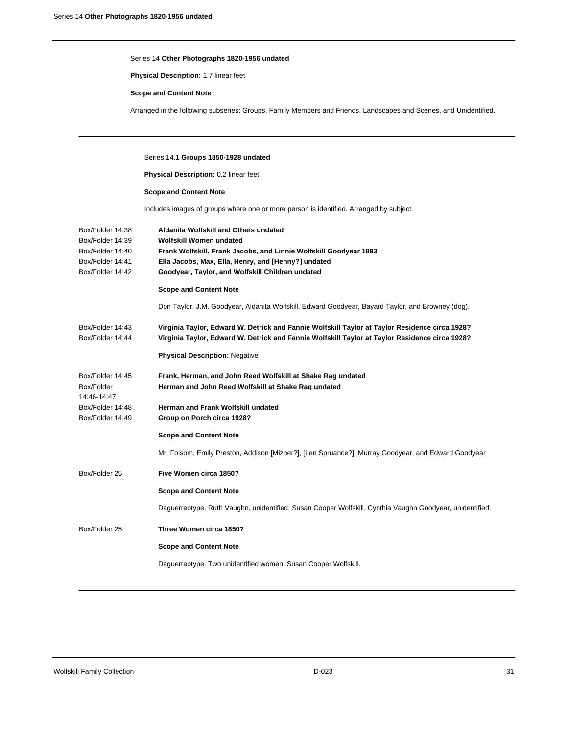**Physical Description:** 1.7 linear feet

### **Scope and Content Note**

Arranged in the following subseries: Groups, Family Members and Friends, Landscapes and Scenes, and Unidentified.

# Series 14.1 **Groups 1850-1928 undated**

**Physical Description:** 0.2 linear feet

# **Scope and Content Note**

Includes images of groups where one or more person is identified. Arranged by subject.

| Box/Folder 14:38          | Aldanita Wolfskill and Others undated                                                                    |
|---------------------------|----------------------------------------------------------------------------------------------------------|
| Box/Folder 14:39          | Wolfskill Women undated                                                                                  |
| Box/Folder 14:40          | Frank Wolfskill, Frank Jacobs, and Linnie Wolfskill Goodyear 1893                                        |
| Box/Folder 14:41          | Ella Jacobs, Max, Ella, Henry, and [Henny?] undated                                                      |
| Box/Folder 14:42          | Goodyear, Taylor, and Wolfskill Children undated                                                         |
|                           | <b>Scope and Content Note</b>                                                                            |
|                           | Don Taylor, J.M. Goodyear, Aldanita Wolfskill, Edward Goodyear, Bayard Taylor, and Browney (dog).        |
| Box/Folder 14:43          | Virginia Taylor, Edward W. Detrick and Fannie Wolfskill Taylor at Taylor Residence circa 1928?           |
| Box/Folder 14:44          | Virginia Taylor, Edward W. Detrick and Fannie Wolfskill Taylor at Taylor Residence circa 1928?           |
|                           | <b>Physical Description: Negative</b>                                                                    |
| Box/Folder 14:45          | Frank, Herman, and John Reed Wolfskill at Shake Rag undated                                              |
| Box/Folder<br>14:46-14:47 | Herman and John Reed Wolfskill at Shake Rag undated                                                      |
| Box/Folder 14:48          | Herman and Frank Wolfskill undated                                                                       |
| Box/Folder 14:49          | Group on Porch circa 1928?                                                                               |
|                           | <b>Scope and Content Note</b>                                                                            |
|                           | Mr. Folsom, Emily Preston, Addison [Mizner?], [Len Spruance?], Murray Goodyear, and Edward Goodyear      |
| Box/Folder 25             | Five Women circa 1850?                                                                                   |
|                           | <b>Scope and Content Note</b>                                                                            |
|                           | Daguerreotype. Ruth Vaughn, unidentified, Susan Cooper Wolfskill, Cynthia Vaughn Goodyear, unidentified. |
| Box/Folder 25             | Three Women circa 1850?                                                                                  |
|                           | <b>Scope and Content Note</b>                                                                            |
|                           | Daguerreotype. Two unidentified women, Susan Cooper Wolfskill.                                           |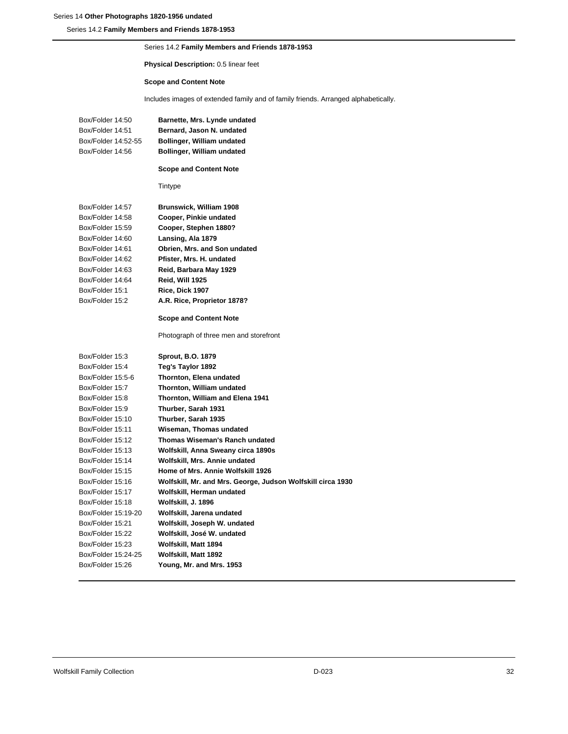Series 14.2 **Family Members and Friends 1878-1953**

# Series 14.2 **Family Members and Friends 1878-1953**

# **Physical Description:** 0.5 linear feet

# **Scope and Content Note**

Includes images of extended family and of family friends. Arranged alphabetically.

| Box/Folder 14:50<br>Box/Folder 14:51<br>Box/Folder 14:52-55<br>Box/Folder 14:56 | Barnette, Mrs. Lynde undated<br>Bernard, Jason N. undated<br>Bollinger, William undated<br>Bollinger, William undated |
|---------------------------------------------------------------------------------|-----------------------------------------------------------------------------------------------------------------------|
|                                                                                 | <b>Scope and Content Note</b>                                                                                         |
|                                                                                 | Tintype                                                                                                               |
| Box/Folder 14:57                                                                | Brunswick, William 1908                                                                                               |
| Box/Folder 14:58                                                                | Cooper, Pinkie undated                                                                                                |
| Box/Folder 15:59                                                                | Cooper, Stephen 1880?                                                                                                 |
| Box/Folder 14:60                                                                | Lansing, Ala 1879                                                                                                     |
| Box/Folder 14:61                                                                | Obrien, Mrs. and Son undated                                                                                          |
| Box/Folder 14:62                                                                | Pfister, Mrs. H. undated                                                                                              |
| Box/Folder 14:63                                                                | Reid, Barbara May 1929                                                                                                |
| Box/Folder 14:64                                                                | Reid, Will 1925                                                                                                       |
| Box/Folder 15:1                                                                 | Rice, Dick 1907                                                                                                       |
| Box/Folder 15:2                                                                 | A.R. Rice, Proprietor 1878?                                                                                           |
|                                                                                 | <b>Scope and Content Note</b>                                                                                         |
|                                                                                 | Photograph of three men and storefront                                                                                |
| Box/Folder 15:3                                                                 | <b>Sprout, B.O. 1879</b>                                                                                              |
| Box/Folder 15:4                                                                 | Teg's Taylor 1892                                                                                                     |
| Box/Folder 15:5-6                                                               | Thornton, Elena undated                                                                                               |
| Box/Folder 15:7                                                                 | Thornton, William undated                                                                                             |
| Box/Folder 15:8                                                                 | Thornton, William and Elena 1941                                                                                      |
| Box/Folder 15:9                                                                 | Thurber, Sarah 1931                                                                                                   |
| Box/Folder 15:10                                                                | Thurber, Sarah 1935                                                                                                   |
| Box/Folder 15:11                                                                | Wiseman, Thomas undated                                                                                               |
| Box/Folder 15:12                                                                | Thomas Wiseman's Ranch undated                                                                                        |
| Box/Folder 15:13                                                                | Wolfskill, Anna Sweany circa 1890s                                                                                    |
| Box/Folder 15:14                                                                | Wolfskill, Mrs. Annie undated                                                                                         |
| Box/Folder 15:15                                                                | Home of Mrs. Annie Wolfskill 1926                                                                                     |
| Box/Folder 15:16                                                                | Wolfskill, Mr. and Mrs. George, Judson Wolfskill circa 1930                                                           |
| Box/Folder 15:17                                                                | Wolfskill, Herman undated                                                                                             |
| Box/Folder 15:18                                                                | Wolfskill, J. 1896                                                                                                    |
| Box/Folder 15:19-20                                                             | Wolfskill, Jarena undated                                                                                             |
| Box/Folder 15:21                                                                | Wolfskill, Joseph W. undated                                                                                          |
| Box/Folder 15:22                                                                | Wolfskill, José W. undated                                                                                            |
| Box/Folder 15:23                                                                | Wolfskill, Matt 1894                                                                                                  |
| Box/Folder 15:24-25                                                             | Wolfskill, Matt 1892                                                                                                  |
| Box/Folder 15:26                                                                | Young, Mr. and Mrs. 1953                                                                                              |
|                                                                                 |                                                                                                                       |

# Wolfskill Family Collection **Collection** 32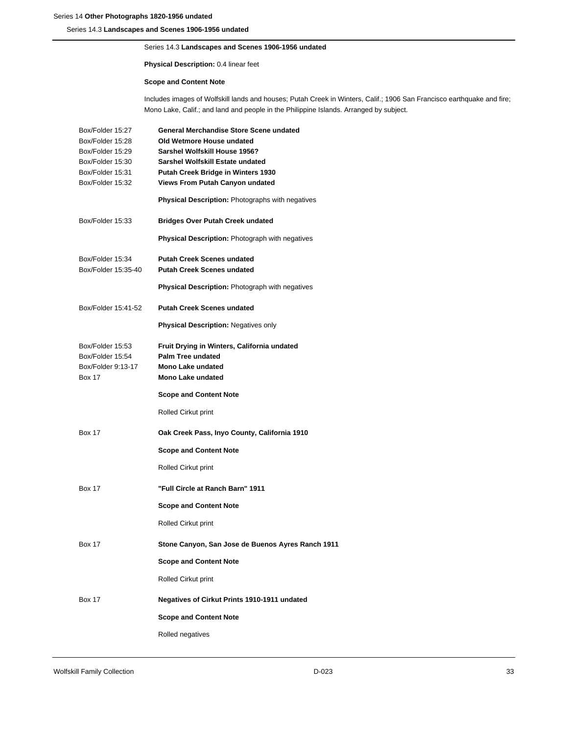Series 14.3 **Landscapes and Scenes 1906-1956 undated**

# Series 14.3 **Landscapes and Scenes 1906-1956 undated**

# **Physical Description:** 0.4 linear feet

# **Scope and Content Note**

Includes images of Wolfskill lands and houses; Putah Creek in Winters, Calif.; 1906 San Francisco earthquake and fire; Mono Lake, Calif.; and land and people in the Philippine Islands. Arranged by subject.

| Box/Folder 15:27                                                            | General Merchandise Store Scene undated                                                                                  |
|-----------------------------------------------------------------------------|--------------------------------------------------------------------------------------------------------------------------|
| Box/Folder 15:28                                                            | Old Wetmore House undated                                                                                                |
| Box/Folder 15:29                                                            | Sarshel Wolfskill House 1956?                                                                                            |
| Box/Folder 15:30                                                            | Sarshel Wolfskill Estate undated                                                                                         |
| Box/Folder 15:31                                                            | Putah Creek Bridge in Winters 1930                                                                                       |
| Box/Folder 15:32                                                            | Views From Putah Canyon undated                                                                                          |
|                                                                             | Physical Description: Photographs with negatives                                                                         |
| Box/Folder 15:33                                                            | <b>Bridges Over Putah Creek undated</b>                                                                                  |
|                                                                             | <b>Physical Description:</b> Photograph with negatives                                                                   |
| Box/Folder 15:34                                                            | <b>Putah Creek Scenes undated</b>                                                                                        |
| Box/Folder 15:35-40                                                         | <b>Putah Creek Scenes undated</b>                                                                                        |
|                                                                             | <b>Physical Description:</b> Photograph with negatives                                                                   |
| Box/Folder 15:41-52                                                         | <b>Putah Creek Scenes undated</b>                                                                                        |
|                                                                             | Physical Description: Negatives only                                                                                     |
| Box/Folder 15:53<br>Box/Folder 15:54<br>Box/Folder 9:13-17<br><b>Box 17</b> | Fruit Drying in Winters, California undated<br><b>Palm Tree undated</b><br>Mono Lake undated<br><b>Mono Lake undated</b> |
|                                                                             |                                                                                                                          |
|                                                                             | <b>Scope and Content Note</b>                                                                                            |
|                                                                             | Rolled Cirkut print                                                                                                      |
| <b>Box 17</b>                                                               | Oak Creek Pass, Inyo County, California 1910                                                                             |
|                                                                             | <b>Scope and Content Note</b>                                                                                            |
|                                                                             | Rolled Cirkut print                                                                                                      |
| <b>Box 17</b>                                                               | "Full Circle at Ranch Barn" 1911                                                                                         |
|                                                                             | <b>Scope and Content Note</b>                                                                                            |
|                                                                             | Rolled Cirkut print                                                                                                      |
| <b>Box 17</b>                                                               | Stone Canyon, San Jose de Buenos Ayres Ranch 1911                                                                        |
|                                                                             | <b>Scope and Content Note</b>                                                                                            |
|                                                                             | Rolled Cirkut print                                                                                                      |
| <b>Box 17</b>                                                               | Negatives of Cirkut Prints 1910-1911 undated                                                                             |
|                                                                             | <b>Scope and Content Note</b>                                                                                            |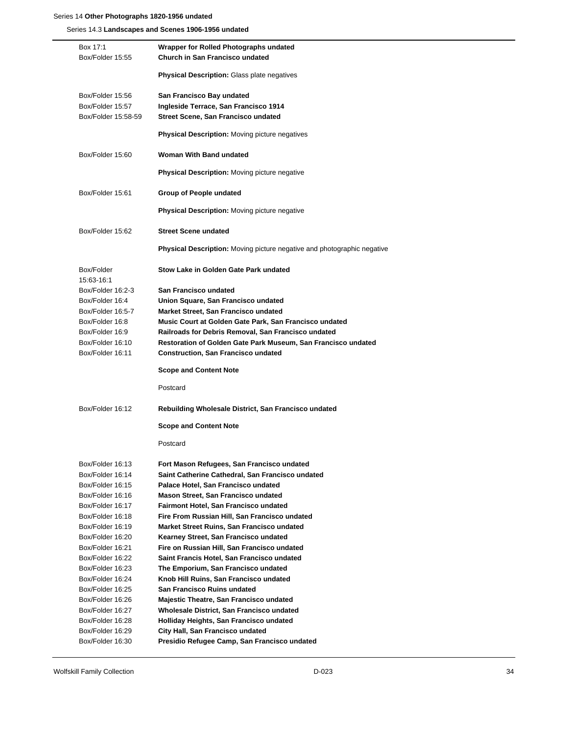Series 14.3 **Landscapes and Scenes 1906-1956 undated**

| Box 17:1            | Wrapper for Rolled Photographs undated                                         |
|---------------------|--------------------------------------------------------------------------------|
| Box/Folder 15:55    | Church in San Francisco undated                                                |
|                     | Physical Description: Glass plate negatives                                    |
|                     |                                                                                |
| Box/Folder 15:56    | San Francisco Bay undated                                                      |
| Box/Folder 15:57    | Ingleside Terrace, San Francisco 1914                                          |
| Box/Folder 15:58-59 | Street Scene, San Francisco undated                                            |
|                     | <b>Physical Description:</b> Moving picture negatives                          |
|                     |                                                                                |
| Box/Folder 15:60    | Woman With Band undated                                                        |
|                     | <b>Physical Description:</b> Moving picture negative                           |
| Box/Folder 15:61    | Group of People undated                                                        |
|                     | <b>Physical Description:</b> Moving picture negative                           |
| Box/Folder 15:62    | <b>Street Scene undated</b>                                                    |
|                     |                                                                                |
|                     | <b>Physical Description:</b> Moving picture negative and photographic negative |
| Box/Folder          | Stow Lake in Golden Gate Park undated                                          |
| 15:63-16:1          |                                                                                |
| Box/Folder 16:2-3   | San Francisco undated                                                          |
| Box/Folder 16:4     | Union Square, San Francisco undated                                            |
| Box/Folder 16:5-7   | Market Street, San Francisco undated                                           |
| Box/Folder 16:8     | Music Court at Golden Gate Park, San Francisco undated                         |
| Box/Folder 16:9     | Railroads for Debris Removal, San Francisco undated                            |
| Box/Folder 16:10    | Restoration of Golden Gate Park Museum, San Francisco undated                  |
| Box/Folder 16:11    | <b>Construction, San Francisco undated</b>                                     |
|                     | <b>Scope and Content Note</b>                                                  |
|                     | Postcard                                                                       |
| Box/Folder 16:12    | Rebuilding Wholesale District, San Francisco undated                           |
|                     | <b>Scope and Content Note</b>                                                  |
|                     | Postcard                                                                       |
| Box/Folder 16:13    | Fort Mason Refugees, San Francisco undated                                     |
| Box/Folder 16:14    | Saint Catherine Cathedral, San Francisco undated                               |
| Box/Folder 16:15    | Palace Hotel, San Francisco undated                                            |
| Box/Folder 16:16    | Mason Street, San Francisco undated                                            |
| Box/Folder 16:17    | Fairmont Hotel, San Francisco undated                                          |
| Box/Folder 16:18    | Fire From Russian Hill, San Francisco undated                                  |
| Box/Folder 16:19    | Market Street Ruins, San Francisco undated                                     |
| Box/Folder 16:20    | Kearney Street, San Francisco undated                                          |
| Box/Folder 16:21    | Fire on Russian Hill, San Francisco undated                                    |
| Box/Folder 16:22    | Saint Francis Hotel, San Francisco undated                                     |
| Box/Folder 16:23    | The Emporium, San Francisco undated                                            |
| Box/Folder 16:24    | Knob Hill Ruins, San Francisco undated                                         |
| Box/Folder 16:25    | San Francisco Ruins undated                                                    |
| Box/Folder 16:26    | Majestic Theatre, San Francisco undated                                        |
| Box/Folder 16:27    | Wholesale District, San Francisco undated                                      |
| Box/Folder 16:28    | Holliday Heights, San Francisco undated                                        |
| Box/Folder 16:29    | City Hall, San Francisco undated                                               |
| Box/Folder 16:30    | Presidio Refugee Camp, San Francisco undated                                   |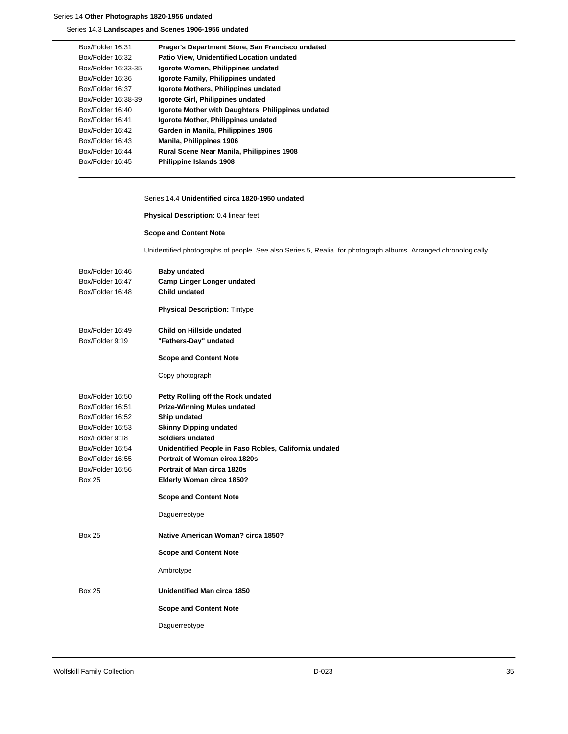Series 14.3 **Landscapes and Scenes 1906-1956 undated**

| Box/Folder 16:31    | Prager's Department Store, San Francisco undated   |
|---------------------|----------------------------------------------------|
| Box/Folder 16:32    | Patio View, Unidentified Location undated          |
| Box/Folder 16:33-35 | Igorote Women, Philippines undated                 |
| Box/Folder 16:36    | Igorote Family, Philippines undated                |
| Box/Folder 16:37    | Igorote Mothers, Philippines undated               |
| Box/Folder 16:38-39 | Igorote Girl, Philippines undated                  |
| Box/Folder 16:40    | Igorote Mother with Daughters, Philippines undated |
| Box/Folder 16:41    | Igorote Mother, Philippines undated                |
| Box/Folder 16:42    | Garden in Manila, Philippines 1906                 |
| Box/Folder 16:43    | Manila, Philippines 1906                           |
| Box/Folder 16:44    | Rural Scene Near Manila, Philippines 1908          |
| Box/Folder 16:45    | <b>Philippine Islands 1908</b>                     |

### Series 14.4 **Unidentified circa 1820-1950 undated**

**Physical Description:** 0.4 linear feet

# **Scope and Content Note**

Unidentified photographs of people. See also Series 5, Realia, for photograph albums. Arranged chronologically.

| Box/Folder 16:46 | <b>Baby undated</b>                                    |
|------------------|--------------------------------------------------------|
| Box/Folder 16:47 | <b>Camp Linger Longer undated</b>                      |
| Box/Folder 16:48 | <b>Child undated</b>                                   |
|                  | <b>Physical Description: Tintype</b>                   |
| Box/Folder 16:49 | Child on Hillside undated                              |
| Box/Folder 9:19  | "Fathers-Day" undated                                  |
|                  | <b>Scope and Content Note</b>                          |
|                  | Copy photograph                                        |
| Box/Folder 16:50 | Petty Rolling off the Rock undated                     |
| Box/Folder 16:51 | <b>Prize-Winning Mules undated</b>                     |
| Box/Folder 16:52 | Ship undated                                           |
| Box/Folder 16:53 | <b>Skinny Dipping undated</b>                          |
| Box/Folder 9:18  | Soldiers undated                                       |
| Box/Folder 16:54 | Unidentified People in Paso Robles, California undated |
| Box/Folder 16:55 | <b>Portrait of Woman circa 1820s</b>                   |
| Box/Folder 16:56 | Portrait of Man circa 1820s                            |
| Box 25           | Elderly Woman circa 1850?                              |
|                  | <b>Scope and Content Note</b>                          |
|                  | Daguerreotype                                          |
| <b>Box 25</b>    | Native American Woman? circa 1850?                     |
|                  | <b>Scope and Content Note</b>                          |
|                  | Ambrotype                                              |
| <b>Box 25</b>    | Unidentified Man circa 1850                            |
|                  | <b>Scope and Content Note</b>                          |
|                  | Daguerreotype                                          |
|                  |                                                        |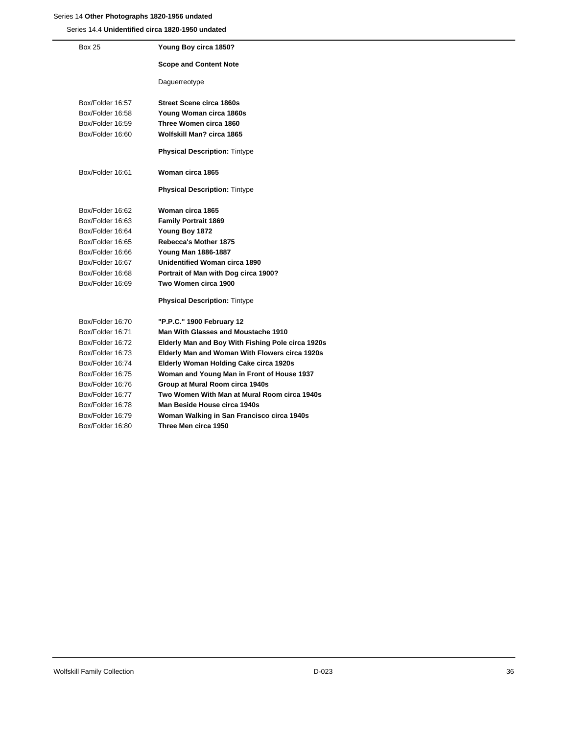Series 14.4 **Unidentified circa 1820-1950 undated**

| <b>Box 25</b>    | Young Boy circa 1850?                             |
|------------------|---------------------------------------------------|
|                  | <b>Scope and Content Note</b>                     |
|                  | Daguerreotype                                     |
| Box/Folder 16:57 | <b>Street Scene circa 1860s</b>                   |
| Box/Folder 16:58 | Young Woman circa 1860s                           |
| Box/Folder 16:59 | Three Women circa 1860                            |
| Box/Folder 16:60 | Wolfskill Man? circa 1865                         |
|                  | <b>Physical Description: Tintype</b>              |
| Box/Folder 16:61 | Woman circa 1865                                  |
|                  | <b>Physical Description: Tintype</b>              |
| Box/Folder 16:62 | Woman circa 1865                                  |
| Box/Folder 16:63 | <b>Family Portrait 1869</b>                       |
| Box/Folder 16:64 | Young Boy 1872                                    |
| Box/Folder 16:65 | <b>Rebecca's Mother 1875</b>                      |
| Box/Folder 16:66 | Young Man 1886-1887                               |
| Box/Folder 16:67 | Unidentified Woman circa 1890                     |
| Box/Folder 16:68 | Portrait of Man with Dog circa 1900?              |
| Box/Folder 16:69 | Two Women circa 1900                              |
|                  | <b>Physical Description: Tintype</b>              |
| Box/Folder 16:70 | "P.P.C." 1900 February 12                         |
| Box/Folder 16:71 | Man With Glasses and Moustache 1910               |
| Box/Folder 16:72 | Elderly Man and Boy With Fishing Pole circa 1920s |
| Box/Folder 16:73 | Elderly Man and Woman With Flowers circa 1920s    |
| Box/Folder 16:74 | <b>Elderly Woman Holding Cake circa 1920s</b>     |
| Box/Folder 16:75 | Woman and Young Man in Front of House 1937        |
| Box/Folder 16:76 | Group at Mural Room circa 1940s                   |
| Box/Folder 16:77 | Two Women With Man at Mural Room circa 1940s      |
| Box/Folder 16:78 | Man Beside House circa 1940s                      |
| Box/Folder 16:79 | Woman Walking in San Francisco circa 1940s        |
| Box/Folder 16:80 | Three Men circa 1950                              |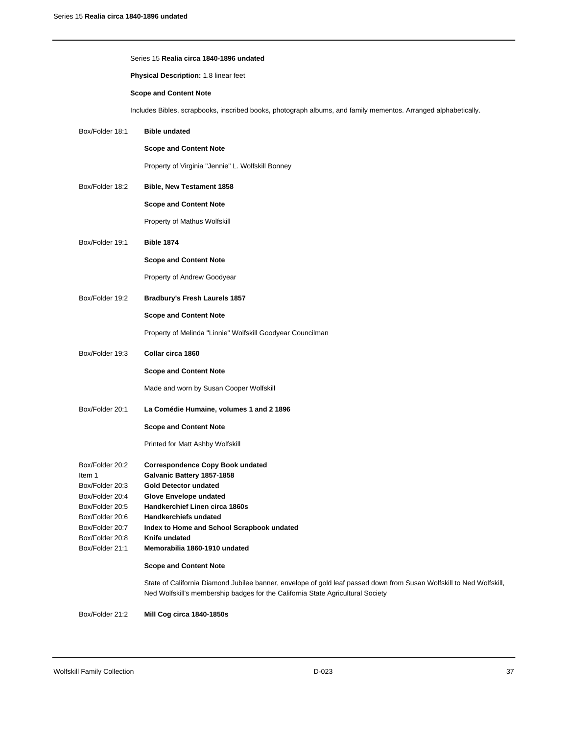|                                                                                                       | Series 15 Realia circa 1840-1896 undated                                                                                                                                                                |  |
|-------------------------------------------------------------------------------------------------------|---------------------------------------------------------------------------------------------------------------------------------------------------------------------------------------------------------|--|
|                                                                                                       | Physical Description: 1.8 linear feet                                                                                                                                                                   |  |
|                                                                                                       | <b>Scope and Content Note</b>                                                                                                                                                                           |  |
|                                                                                                       | Includes Bibles, scrapbooks, inscribed books, photograph albums, and family mementos. Arranged alphabetically.                                                                                          |  |
| Box/Folder 18:1                                                                                       | <b>Bible undated</b>                                                                                                                                                                                    |  |
|                                                                                                       | <b>Scope and Content Note</b>                                                                                                                                                                           |  |
|                                                                                                       | Property of Virginia "Jennie" L. Wolfskill Bonney                                                                                                                                                       |  |
| Box/Folder 18:2                                                                                       | Bible, New Testament 1858                                                                                                                                                                               |  |
|                                                                                                       | <b>Scope and Content Note</b>                                                                                                                                                                           |  |
|                                                                                                       | Property of Mathus Wolfskill                                                                                                                                                                            |  |
| Box/Folder 19:1                                                                                       | <b>Bible 1874</b>                                                                                                                                                                                       |  |
|                                                                                                       | <b>Scope and Content Note</b>                                                                                                                                                                           |  |
|                                                                                                       | Property of Andrew Goodyear                                                                                                                                                                             |  |
| Box/Folder 19:2                                                                                       | Bradbury's Fresh Laurels 1857                                                                                                                                                                           |  |
|                                                                                                       | <b>Scope and Content Note</b>                                                                                                                                                                           |  |
|                                                                                                       | Property of Melinda "Linnie" Wolfskill Goodyear Councilman                                                                                                                                              |  |
| Box/Folder 19:3                                                                                       | Collar circa 1860                                                                                                                                                                                       |  |
|                                                                                                       | <b>Scope and Content Note</b>                                                                                                                                                                           |  |
|                                                                                                       | Made and worn by Susan Cooper Wolfskill                                                                                                                                                                 |  |
| Box/Folder 20:1                                                                                       | La Comédie Humaine, volumes 1 and 2 1896                                                                                                                                                                |  |
|                                                                                                       | <b>Scope and Content Note</b>                                                                                                                                                                           |  |
|                                                                                                       | Printed for Matt Ashby Wolfskill                                                                                                                                                                        |  |
| Box/Folder 20:2<br>Item 1<br>Box/Folder 20:3<br>Box/Folder 20:4<br>Box/Folder 20:5<br>Box/Folder 20:6 | <b>Correspondence Copy Book undated</b><br>Galvanic Battery 1857-1858<br><b>Gold Detector undated</b><br>Glove Envelope undated<br>Handkerchief Linen circa 1860s<br>Handkerchiefs undated              |  |
| Box/Folder 20:7<br>Box/Folder 20:8                                                                    | Index to Home and School Scrapbook undated<br>Knife undated                                                                                                                                             |  |
| Box/Folder 21:1                                                                                       | Memorabilia 1860-1910 undated                                                                                                                                                                           |  |
|                                                                                                       | <b>Scope and Content Note</b>                                                                                                                                                                           |  |
|                                                                                                       | State of California Diamond Jubilee banner, envelope of gold leaf passed down from Susan Wolfskill to Ned Wolfskill,<br>Ned Wolfskill's membership badges for the California State Agricultural Society |  |
|                                                                                                       |                                                                                                                                                                                                         |  |

# Box/Folder 21:2 **Mill Cog circa 1840-1850s**